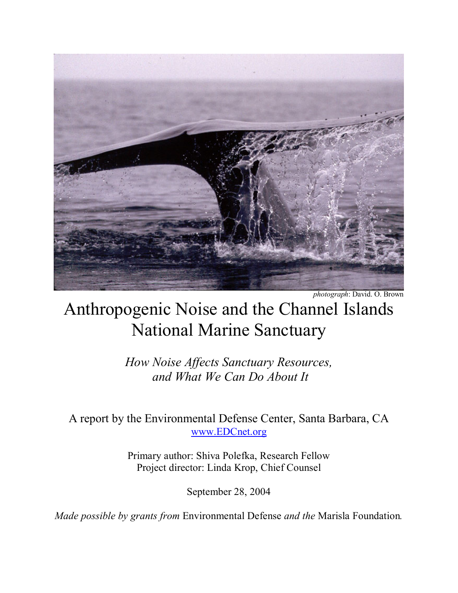

*photograph*: David. O. Brown

# Anthropogenic Noise and the Channel Islands National Marine Sanctuary

*How Noise Affects Sanctuary Resources, and What We Can Do About It*

A report by the Environmental Defense Center, Santa Barbara, CA www.EDCnet.org

> Primary author: Shiva Polefka, Research Fellow Project director: Linda Krop, Chief Counsel

> > September 28, 2004

*Made possible by grants from* Environmental Defense *and the* Marisla Foundation*.*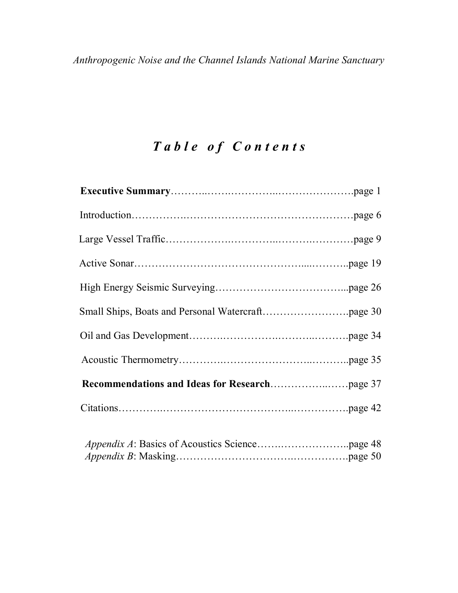# *T a b l e o f C o n t e n t s*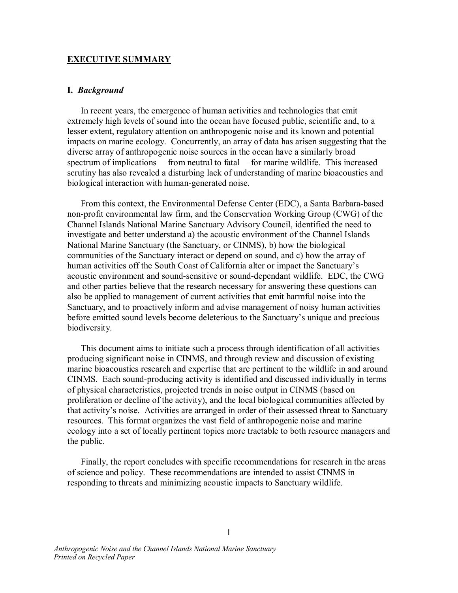#### **EXECUTIVE SUMMARY**

#### **I.** *Background*

 In recent years, the emergence of human activities and technologies that emit extremely high levels of sound into the ocean have focused public, scientific and, to a lesser extent, regulatory attention on anthropogenic noise and its known and potential impacts on marine ecology. Concurrently, an array of data has arisen suggesting that the diverse array of anthropogenic noise sources in the ocean have a similarly broad spectrum of implications— from neutral to fatal— for marine wildlife. This increased scrutiny has also revealed a disturbing lack of understanding of marine bioacoustics and biological interaction with human-generated noise.

 From this context, the Environmental Defense Center (EDC), a Santa Barbara-based non-profit environmental law firm, and the Conservation Working Group (CWG) of the Channel Islands National Marine Sanctuary Advisory Council, identified the need to investigate and better understand a) the acoustic environment of the Channel Islands National Marine Sanctuary (the Sanctuary, or CINMS), b) how the biological communities of the Sanctuary interact or depend on sound, and c) how the array of human activities off the South Coast of California alter or impact the Sanctuary's acoustic environment and sound-sensitive or sound-dependant wildlife. EDC, the CWG and other parties believe that the research necessary for answering these questions can also be applied to management of current activities that emit harmful noise into the Sanctuary, and to proactively inform and advise management of noisy human activities before emitted sound levels become deleterious to the Sanctuary's unique and precious biodiversity.

 This document aims to initiate such a process through identification of all activities producing significant noise in CINMS, and through review and discussion of existing marine bioacoustics research and expertise that are pertinent to the wildlife in and around CINMS. Each sound-producing activity is identified and discussed individually in terms of physical characteristics, projected trends in noise output in CINMS (based on proliferation or decline of the activity), and the local biological communities affected by that activity's noise. Activities are arranged in order of their assessed threat to Sanctuary resources. This format organizes the vast field of anthropogenic noise and marine ecology into a set of locally pertinent topics more tractable to both resource managers and the public.

 Finally, the report concludes with specific recommendations for research in the areas of science and policy. These recommendations are intended to assist CINMS in responding to threats and minimizing acoustic impacts to Sanctuary wildlife.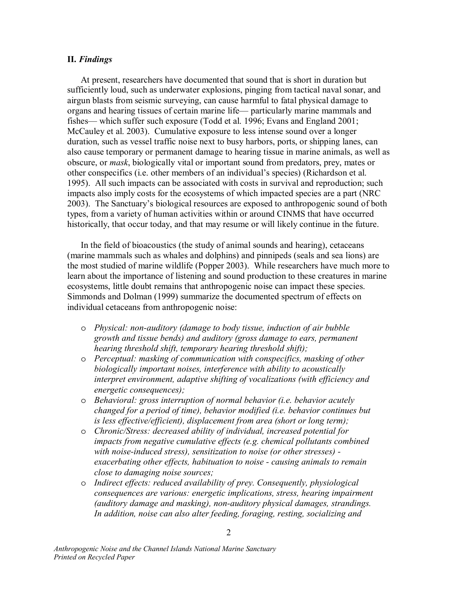#### **II.** *Findings*

 At present, researchers have documented that sound that is short in duration but sufficiently loud, such as underwater explosions, pinging from tactical naval sonar, and airgun blasts from seismic surveying, can cause harmful to fatal physical damage to organs and hearing tissues of certain marine life— particularly marine mammals and fishes— which suffer such exposure (Todd et al. 1996; Evans and England 2001; McCauley et al. 2003). Cumulative exposure to less intense sound over a longer duration, such as vessel traffic noise next to busy harbors, ports, or shipping lanes, can also cause temporary or permanent damage to hearing tissue in marine animals, as well as obscure, or *mask*, biologically vital or important sound from predators, prey, mates or other conspecifics (i.e. other members of an individual's species) (Richardson et al. 1995). All such impacts can be associated with costs in survival and reproduction; such impacts also imply costs for the ecosystems of which impacted species are a part (NRC 2003). The Sanctuary's biological resources are exposed to anthropogenic sound of both types, from a variety of human activities within or around CINMS that have occurred historically, that occur today, and that may resume or will likely continue in the future.

 In the field of bioacoustics (the study of animal sounds and hearing), cetaceans (marine mammals such as whales and dolphins) and pinnipeds (seals and sea lions) are the most studied of marine wildlife (Popper 2003). While researchers have much more to learn about the importance of listening and sound production to these creatures in marine ecosystems, little doubt remains that anthropogenic noise can impact these species. Simmonds and Dolman (1999) summarize the documented spectrum of effects on individual cetaceans from anthropogenic noise:

- o *Physical: non-auditory (damage to body tissue, induction of air bubble growth and tissue bends) and auditory (gross damage to ears, permanent hearing threshold shift, temporary hearing threshold shift);*
- o *Perceptual: masking of communication with conspecifics, masking of other biologically important noises, interference with ability to acoustically interpret environment, adaptive shifting of vocalizations (with efficiency and energetic consequences);*
- o *Behavioral: gross interruption of normal behavior (i.e. behavior acutely changed for a period of time), behavior modified (i.e. behavior continues but is less effective/efficient), displacement from area (short or long term);*
- o *Chronic/Stress: decreased ability of individual, increased potential for impacts from negative cumulative effects (e.g. chemical pollutants combined with noise-induced stress), sensitization to noise (or other stresses) exacerbating other effects, habituation to noise - causing animals to remain close to damaging noise sources;*
- o *Indirect effects: reduced availability of prey. Consequently, physiological consequences are various: energetic implications, stress, hearing impairment (auditory damage and masking), non-auditory physical damages, strandings. In addition, noise can also alter feeding, foraging, resting, socializing and*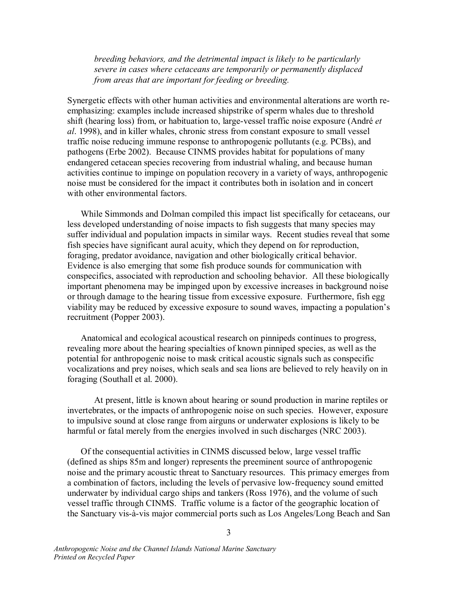*breeding behaviors, and the detrimental impact is likely to be particularly severe in cases where cetaceans are temporarily or permanently displaced from areas that are important for feeding or breeding.* 

Synergetic effects with other human activities and environmental alterations are worth reemphasizing: examples include increased shipstrike of sperm whales due to threshold shift (hearing loss) from, or habituation to, large-vessel traffic noise exposure (André *et al*. 1998), and in killer whales, chronic stress from constant exposure to small vessel traffic noise reducing immune response to anthropogenic pollutants (e.g. PCBs), and pathogens (Erbe 2002). Because CINMS provides habitat for populations of many endangered cetacean species recovering from industrial whaling, and because human activities continue to impinge on population recovery in a variety of ways, anthropogenic noise must be considered for the impact it contributes both in isolation and in concert with other environmental factors.

 While Simmonds and Dolman compiled this impact list specifically for cetaceans, our less developed understanding of noise impacts to fish suggests that many species may suffer individual and population impacts in similar ways. Recent studies reveal that some fish species have significant aural acuity, which they depend on for reproduction, foraging, predator avoidance, navigation and other biologically critical behavior. Evidence is also emerging that some fish produce sounds for communication with conspecifics, associated with reproduction and schooling behavior. All these biologically important phenomena may be impinged upon by excessive increases in background noise or through damage to the hearing tissue from excessive exposure. Furthermore, fish egg viability may be reduced by excessive exposure to sound waves, impacting a population's recruitment (Popper 2003).

 Anatomical and ecological acoustical research on pinnipeds continues to progress, revealing more about the hearing specialties of known pinniped species, as well as the potential for anthropogenic noise to mask critical acoustic signals such as conspecific vocalizations and prey noises, which seals and sea lions are believed to rely heavily on in foraging (Southall et al. 2000).

At present, little is known about hearing or sound production in marine reptiles or invertebrates, or the impacts of anthropogenic noise on such species. However, exposure to impulsive sound at close range from airguns or underwater explosions is likely to be harmful or fatal merely from the energies involved in such discharges (NRC 2003).

 Of the consequential activities in CINMS discussed below, large vessel traffic (defined as ships 85m and longer) represents the preeminent source of anthropogenic noise and the primary acoustic threat to Sanctuary resources. This primacy emerges from a combination of factors, including the levels of pervasive low-frequency sound emitted underwater by individual cargo ships and tankers (Ross 1976), and the volume of such vessel traffic through CINMS. Traffic volume is a factor of the geographic location of the Sanctuary vis-à-vis major commercial ports such as Los Angeles/Long Beach and San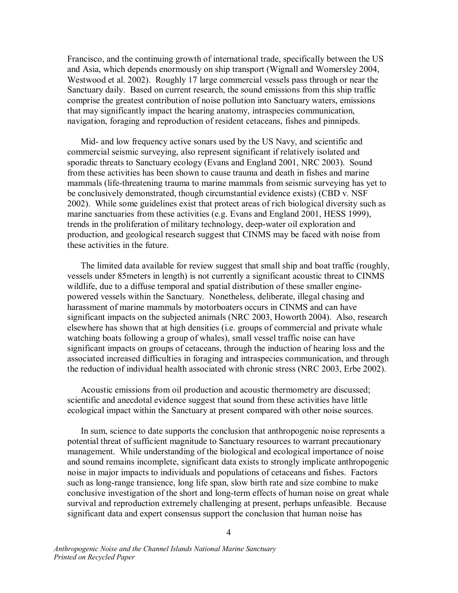Francisco, and the continuing growth of international trade, specifically between the US and Asia, which depends enormously on ship transport (Wignall and Womersley 2004, Westwood et al. 2002). Roughly 17 large commercial vessels pass through or near the Sanctuary daily. Based on current research, the sound emissions from this ship traffic comprise the greatest contribution of noise pollution into Sanctuary waters, emissions that may significantly impact the hearing anatomy, intraspecies communication, navigation, foraging and reproduction of resident cetaceans, fishes and pinnipeds.

 Mid- and low frequency active sonars used by the US Navy, and scientific and commercial seismic surveying, also represent significant if relatively isolated and sporadic threats to Sanctuary ecology (Evans and England 2001, NRC 2003). Sound from these activities has been shown to cause trauma and death in fishes and marine mammals (life-threatening trauma to marine mammals from seismic surveying has yet to be conclusively demonstrated, though circumstantial evidence exists) (CBD v. NSF 2002). While some guidelines exist that protect areas of rich biological diversity such as marine sanctuaries from these activities (e.g. Evans and England 2001, HESS 1999), trends in the proliferation of military technology, deep-water oil exploration and production, and geological research suggest that CINMS may be faced with noise from these activities in the future.

 The limited data available for review suggest that small ship and boat traffic (roughly, vessels under 85meters in length) is not currently a significant acoustic threat to CINMS wildlife, due to a diffuse temporal and spatial distribution of these smaller enginepowered vessels within the Sanctuary. Nonetheless, deliberate, illegal chasing and harassment of marine mammals by motorboaters occurs in CINMS and can have significant impacts on the subjected animals (NRC 2003, Howorth 2004). Also, research elsewhere has shown that at high densities (i.e. groups of commercial and private whale watching boats following a group of whales), small vessel traffic noise can have significant impacts on groups of cetaceans, through the induction of hearing loss and the associated increased difficulties in foraging and intraspecies communication, and through the reduction of individual health associated with chronic stress (NRC 2003, Erbe 2002).

 Acoustic emissions from oil production and acoustic thermometry are discussed; scientific and anecdotal evidence suggest that sound from these activities have little ecological impact within the Sanctuary at present compared with other noise sources.

 In sum, science to date supports the conclusion that anthropogenic noise represents a potential threat of sufficient magnitude to Sanctuary resources to warrant precautionary management. While understanding of the biological and ecological importance of noise and sound remains incomplete, significant data exists to strongly implicate anthropogenic noise in major impacts to individuals and populations of cetaceans and fishes. Factors such as long-range transience, long life span, slow birth rate and size combine to make conclusive investigation of the short and long-term effects of human noise on great whale survival and reproduction extremely challenging at present, perhaps unfeasible. Because significant data and expert consensus support the conclusion that human noise has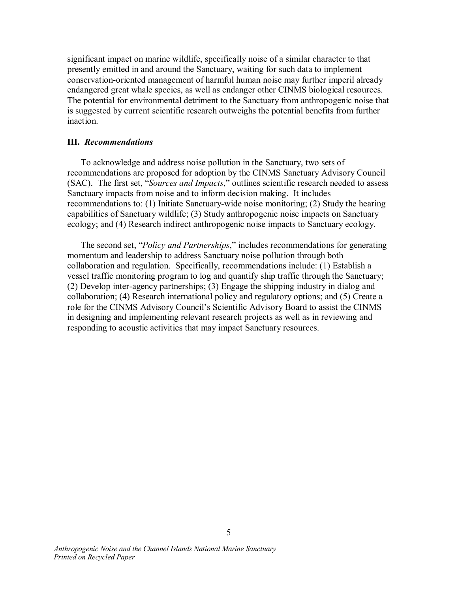significant impact on marine wildlife, specifically noise of a similar character to that presently emitted in and around the Sanctuary, waiting for such data to implement conservation-oriented management of harmful human noise may further imperil already endangered great whale species, as well as endanger other CINMS biological resources. The potential for environmental detriment to the Sanctuary from anthropogenic noise that is suggested by current scientific research outweighs the potential benefits from further inaction.

#### **III.** *Recommendations*

 To acknowledge and address noise pollution in the Sanctuary, two sets of recommendations are proposed for adoption by the CINMS Sanctuary Advisory Council (SAC). The first set, "*Sources and Impacts*," outlines scientific research needed to assess Sanctuary impacts from noise and to inform decision making. It includes recommendations to: (1) Initiate Sanctuary-wide noise monitoring; (2) Study the hearing capabilities of Sanctuary wildlife; (3) Study anthropogenic noise impacts on Sanctuary ecology; and (4) Research indirect anthropogenic noise impacts to Sanctuary ecology.

 The second set, "*Policy and Partnerships*," includes recommendations for generating momentum and leadership to address Sanctuary noise pollution through both collaboration and regulation. Specifically, recommendations include: (1) Establish a vessel traffic monitoring program to log and quantify ship traffic through the Sanctuary; (2) Develop inter-agency partnerships; (3) Engage the shipping industry in dialog and collaboration; (4) Research international policy and regulatory options; and (5) Create a role for the CINMS Advisory Council's Scientific Advisory Board to assist the CINMS in designing and implementing relevant research projects as well as in reviewing and responding to acoustic activities that may impact Sanctuary resources.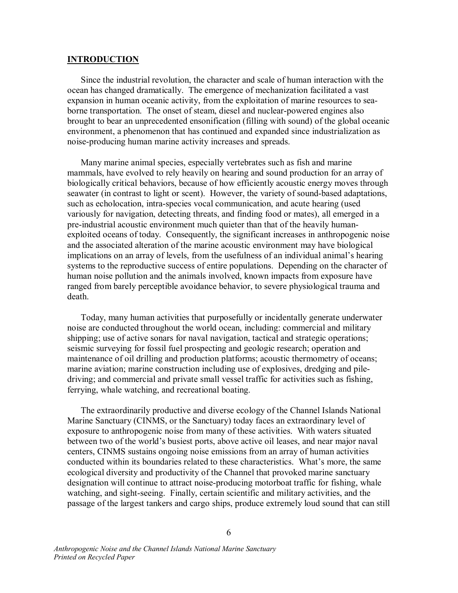#### **INTRODUCTION**

 Since the industrial revolution, the character and scale of human interaction with the ocean has changed dramatically. The emergence of mechanization facilitated a vast expansion in human oceanic activity, from the exploitation of marine resources to seaborne transportation. The onset of steam, diesel and nuclear-powered engines also brought to bear an unprecedented ensonification (filling with sound) of the global oceanic environment, a phenomenon that has continued and expanded since industrialization as noise-producing human marine activity increases and spreads.

 Many marine animal species, especially vertebrates such as fish and marine mammals, have evolved to rely heavily on hearing and sound production for an array of biologically critical behaviors, because of how efficiently acoustic energy moves through seawater (in contrast to light or scent). However, the variety of sound-based adaptations, such as echolocation, intra-species vocal communication, and acute hearing (used variously for navigation, detecting threats, and finding food or mates), all emerged in a pre-industrial acoustic environment much quieter than that of the heavily humanexploited oceans of today. Consequently, the significant increases in anthropogenic noise and the associated alteration of the marine acoustic environment may have biological implications on an array of levels, from the usefulness of an individual animal's hearing systems to the reproductive success of entire populations. Depending on the character of human noise pollution and the animals involved, known impacts from exposure have ranged from barely perceptible avoidance behavior, to severe physiological trauma and death.

 Today, many human activities that purposefully or incidentally generate underwater noise are conducted throughout the world ocean, including: commercial and military shipping; use of active sonars for naval navigation, tactical and strategic operations; seismic surveying for fossil fuel prospecting and geologic research; operation and maintenance of oil drilling and production platforms; acoustic thermometry of oceans; marine aviation; marine construction including use of explosives, dredging and piledriving; and commercial and private small vessel traffic for activities such as fishing, ferrying, whale watching, and recreational boating.

 The extraordinarily productive and diverse ecology of the Channel Islands National Marine Sanctuary (CINMS, or the Sanctuary) today faces an extraordinary level of exposure to anthropogenic noise from many of these activities. With waters situated between two of the world's busiest ports, above active oil leases, and near major naval centers, CINMS sustains ongoing noise emissions from an array of human activities conducted within its boundaries related to these characteristics. What's more, the same ecological diversity and productivity of the Channel that provoked marine sanctuary designation will continue to attract noise-producing motorboat traffic for fishing, whale watching, and sight-seeing. Finally, certain scientific and military activities, and the passage of the largest tankers and cargo ships, produce extremely loud sound that can still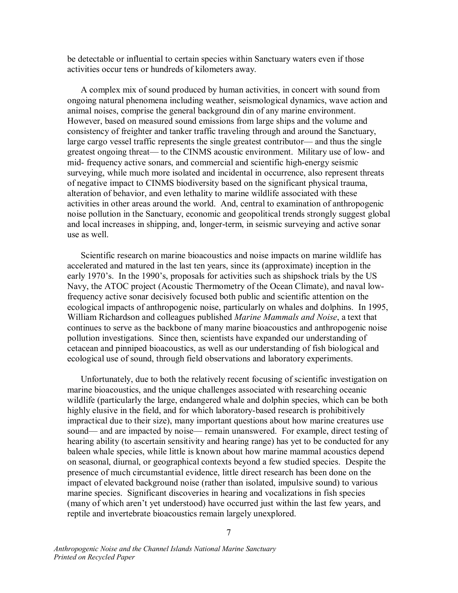be detectable or influential to certain species within Sanctuary waters even if those activities occur tens or hundreds of kilometers away.

 A complex mix of sound produced by human activities, in concert with sound from ongoing natural phenomena including weather, seismological dynamics, wave action and animal noises, comprise the general background din of any marine environment. However, based on measured sound emissions from large ships and the volume and consistency of freighter and tanker traffic traveling through and around the Sanctuary, large cargo vessel traffic represents the single greatest contributor— and thus the single greatest ongoing threat— to the CINMS acoustic environment. Military use of low- and mid- frequency active sonars, and commercial and scientific high-energy seismic surveying, while much more isolated and incidental in occurrence, also represent threats of negative impact to CINMS biodiversity based on the significant physical trauma, alteration of behavior, and even lethality to marine wildlife associated with these activities in other areas around the world. And, central to examination of anthropogenic noise pollution in the Sanctuary, economic and geopolitical trends strongly suggest global and local increases in shipping, and, longer-term, in seismic surveying and active sonar use as well.

 Scientific research on marine bioacoustics and noise impacts on marine wildlife has accelerated and matured in the last ten years, since its (approximate) inception in the early 1970's. In the 1990's, proposals for activities such as shipshock trials by the US Navy, the ATOC project (Acoustic Thermometry of the Ocean Climate), and naval lowfrequency active sonar decisively focused both public and scientific attention on the ecological impacts of anthropogenic noise, particularly on whales and dolphins. In 1995, William Richardson and colleagues published *Marine Mammals and Noise*, a text that continues to serve as the backbone of many marine bioacoustics and anthropogenic noise pollution investigations. Since then, scientists have expanded our understanding of cetacean and pinniped bioacoustics, as well as our understanding of fish biological and ecological use of sound, through field observations and laboratory experiments.

 Unfortunately, due to both the relatively recent focusing of scientific investigation on marine bioacoustics, and the unique challenges associated with researching oceanic wildlife (particularly the large, endangered whale and dolphin species, which can be both highly elusive in the field, and for which laboratory-based research is prohibitively impractical due to their size), many important questions about how marine creatures use sound— and are impacted by noise— remain unanswered. For example, direct testing of hearing ability (to ascertain sensitivity and hearing range) has yet to be conducted for any baleen whale species, while little is known about how marine mammal acoustics depend on seasonal, diurnal, or geographical contexts beyond a few studied species. Despite the presence of much circumstantial evidence, little direct research has been done on the impact of elevated background noise (rather than isolated, impulsive sound) to various marine species. Significant discoveries in hearing and vocalizations in fish species (many of which aren't yet understood) have occurred just within the last few years, and reptile and invertebrate bioacoustics remain largely unexplored.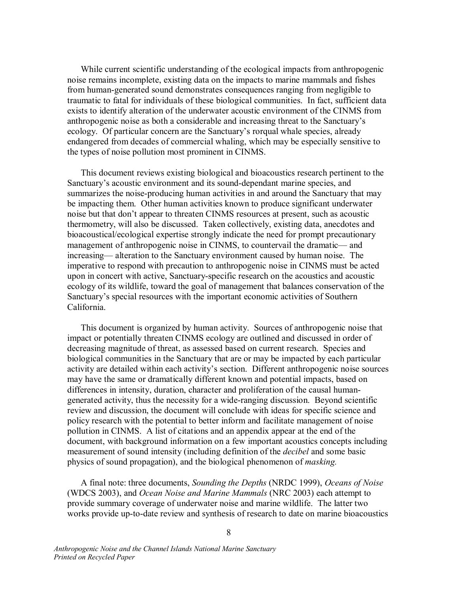While current scientific understanding of the ecological impacts from anthropogenic noise remains incomplete, existing data on the impacts to marine mammals and fishes from human-generated sound demonstrates consequences ranging from negligible to traumatic to fatal for individuals of these biological communities. In fact, sufficient data exists to identify alteration of the underwater acoustic environment of the CINMS from anthropogenic noise as both a considerable and increasing threat to the Sanctuary's ecology. Of particular concern are the Sanctuary's rorqual whale species, already endangered from decades of commercial whaling, which may be especially sensitive to the types of noise pollution most prominent in CINMS.

 This document reviews existing biological and bioacoustics research pertinent to the Sanctuary's acoustic environment and its sound-dependant marine species, and summarizes the noise-producing human activities in and around the Sanctuary that may be impacting them. Other human activities known to produce significant underwater noise but that don't appear to threaten CINMS resources at present, such as acoustic thermometry, will also be discussed. Taken collectively, existing data, anecdotes and bioacoustical/ecological expertise strongly indicate the need for prompt precautionary management of anthropogenic noise in CINMS, to countervail the dramatic— and increasing— alteration to the Sanctuary environment caused by human noise. The imperative to respond with precaution to anthropogenic noise in CINMS must be acted upon in concert with active, Sanctuary-specific research on the acoustics and acoustic ecology of its wildlife, toward the goal of management that balances conservation of the Sanctuary's special resources with the important economic activities of Southern California.

 This document is organized by human activity. Sources of anthropogenic noise that impact or potentially threaten CINMS ecology are outlined and discussed in order of decreasing magnitude of threat, as assessed based on current research. Species and biological communities in the Sanctuary that are or may be impacted by each particular activity are detailed within each activity's section. Different anthropogenic noise sources may have the same or dramatically different known and potential impacts, based on differences in intensity, duration, character and proliferation of the causal humangenerated activity, thus the necessity for a wide-ranging discussion. Beyond scientific review and discussion, the document will conclude with ideas for specific science and policy research with the potential to better inform and facilitate management of noise pollution in CINMS. A list of citations and an appendix appear at the end of the document, with background information on a few important acoustics concepts including measurement of sound intensity (including definition of the *decibel* and some basic physics of sound propagation), and the biological phenomenon of *masking.* 

 A final note: three documents, *Sounding the Depths* (NRDC 1999), *Oceans of Noise* (WDCS 2003), and *Ocean Noise and Marine Mammals* (NRC 2003) each attempt to provide summary coverage of underwater noise and marine wildlife. The latter two works provide up-to-date review and synthesis of research to date on marine bioacoustics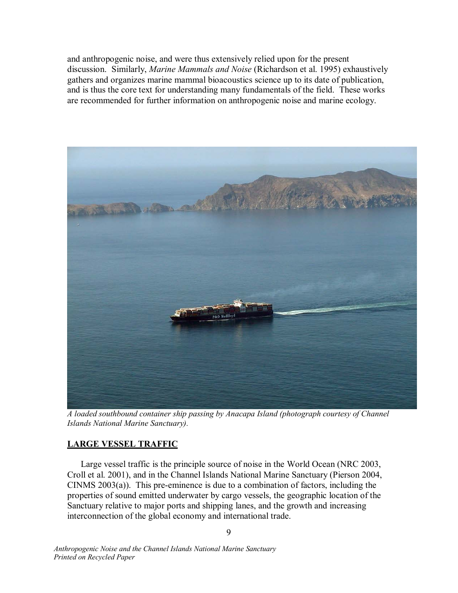and anthropogenic noise, and were thus extensively relied upon for the present discussion. Similarly, *Marine Mammals and Noise* (Richardson et al. 1995) exhaustively gathers and organizes marine mammal bioacoustics science up to its date of publication, and is thus the core text for understanding many fundamentals of the field. These works are recommended for further information on anthropogenic noise and marine ecology.



*A loaded southbound container ship passing by Anacapa Island (photograph courtesy of Channel Islands National Marine Sanctuary).* 

# **LARGE VESSEL TRAFFIC**

 Large vessel traffic is the principle source of noise in the World Ocean (NRC 2003, Croll et al. 2001), and in the Channel Islands National Marine Sanctuary (Pierson 2004, CINMS 2003(a)). This pre-eminence is due to a combination of factors, including the properties of sound emitted underwater by cargo vessels, the geographic location of the Sanctuary relative to major ports and shipping lanes, and the growth and increasing interconnection of the global economy and international trade.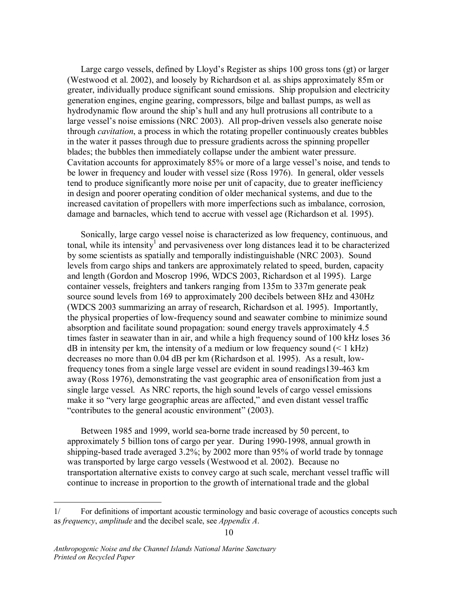Large cargo vessels, defined by Lloyd's Register as ships 100 gross tons (gt) or larger (Westwood et al. 2002), and loosely by Richardson et al. as ships approximately 85m or greater, individually produce significant sound emissions. Ship propulsion and electricity generation engines, engine gearing, compressors, bilge and ballast pumps, as well as hydrodynamic flow around the ship's hull and any hull protrusions all contribute to a large vessel's noise emissions (NRC 2003). All prop-driven vessels also generate noise through *cavitation*, a process in which the rotating propeller continuously creates bubbles in the water it passes through due to pressure gradients across the spinning propeller blades; the bubbles then immediately collapse under the ambient water pressure. Cavitation accounts for approximately 85% or more of a large vessel's noise, and tends to be lower in frequency and louder with vessel size (Ross 1976). In general, older vessels tend to produce significantly more noise per unit of capacity, due to greater inefficiency in design and poorer operating condition of older mechanical systems, and due to the increased cavitation of propellers with more imperfections such as imbalance, corrosion, damage and barnacles, which tend to accrue with vessel age (Richardson et al. 1995).

 Sonically, large cargo vessel noise is characterized as low frequency, continuous, and tonal, while its intensity<sup>1</sup> and pervasiveness over long distances lead it to be characterized by some scientists as spatially and temporally indistinguishable (NRC 2003). Sound levels from cargo ships and tankers are approximately related to speed, burden, capacity and length (Gordon and Moscrop 1996, WDCS 2003, Richardson et al 1995). Large container vessels, freighters and tankers ranging from 135m to 337m generate peak source sound levels from 169 to approximately 200 decibels between 8Hz and 430Hz (WDCS 2003 summarizing an array of research, Richardson et al. 1995). Importantly, the physical properties of low-frequency sound and seawater combine to minimize sound absorption and facilitate sound propagation: sound energy travels approximately 4.5 times faster in seawater than in air, and while a high frequency sound of 100 kHz loses 36  $dB$  in intensity per km, the intensity of a medium or low frequency sound ( $\leq 1$  kHz) decreases no more than 0.04 dB per km (Richardson et al. 1995). As a result, lowfrequency tones from a single large vessel are evident in sound readings139-463 km away (Ross 1976), demonstrating the vast geographic area of ensonification from just a single large vessel. As NRC reports, the high sound levels of cargo vessel emissions make it so "very large geographic areas are affected," and even distant vessel traffic "contributes to the general acoustic environment" (2003).

 Between 1985 and 1999, world sea-borne trade increased by 50 percent, to approximately 5 billion tons of cargo per year. During 1990-1998, annual growth in shipping-based trade averaged 3.2%; by 2002 more than 95% of world trade by tonnage was transported by large cargo vessels (Westwood et al. 2002). Because no transportation alternative exists to convey cargo at such scale, merchant vessel traffic will continue to increase in proportion to the growth of international trade and the global

<sup>1/</sup> For definitions of important acoustic terminology and basic coverage of acoustics concepts such as *frequency*, *amplitude* and the decibel scale, see *Appendix A*.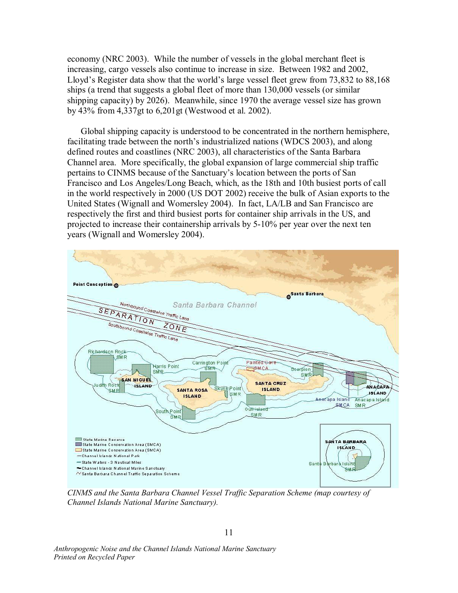economy (NRC 2003). While the number of vessels in the global merchant fleet is increasing, cargo vessels also continue to increase in size. Between 1982 and 2002, Lloyd's Register data show that the world's large vessel fleet grew from 73,832 to 88,168 ships (a trend that suggests a global fleet of more than 130,000 vessels (or similar shipping capacity) by 2026). Meanwhile, since 1970 the average vessel size has grown by 43% from 4,337gt to 6,201gt (Westwood et al. 2002).

 Global shipping capacity is understood to be concentrated in the northern hemisphere, facilitating trade between the north's industrialized nations (WDCS 2003), and along defined routes and coastlines (NRC 2003), all characteristics of the Santa Barbara Channel area. More specifically, the global expansion of large commercial ship traffic pertains to CINMS because of the Sanctuary's location between the ports of San Francisco and Los Angeles/Long Beach, which, as the 18th and 10th busiest ports of call in the world respectively in 2000 (US DOT 2002) receive the bulk of Asian exports to the United States (Wignall and Womersley 2004). In fact, LA/LB and San Francisco are respectively the first and third busiest ports for container ship arrivals in the US, and projected to increase their containership arrivals by 5-10% per year over the next ten years (Wignall and Womersley 2004).



*CINMS and the Santa Barbara Channel Vessel Traffic Separation Scheme (map courtesy of Channel Islands National Marine Sanctuary).* 

*Anthropogenic Noise and the Channel Islands National Marine Sanctuary Printed on Recycled Paper*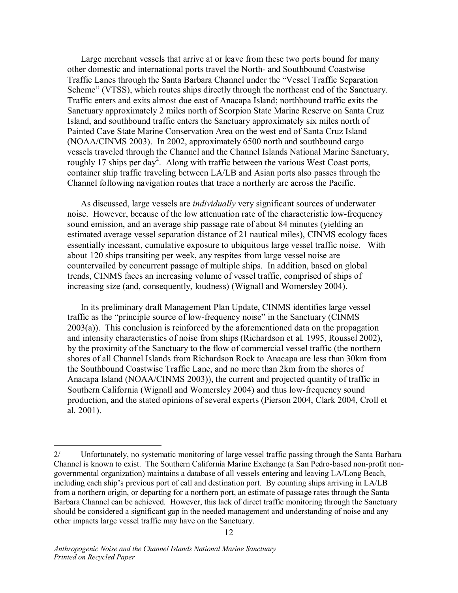Large merchant vessels that arrive at or leave from these two ports bound for many other domestic and international ports travel the North- and Southbound Coastwise Traffic Lanes through the Santa Barbara Channel under the "Vessel Traffic Separation Scheme" (VTSS), which routes ships directly through the northeast end of the Sanctuary. Traffic enters and exits almost due east of Anacapa Island; northbound traffic exits the Sanctuary approximately 2 miles north of Scorpion State Marine Reserve on Santa Cruz Island, and southbound traffic enters the Sanctuary approximately six miles north of Painted Cave State Marine Conservation Area on the west end of Santa Cruz Island (NOAA/CINMS 2003). In 2002, approximately 6500 north and southbound cargo vessels traveled through the Channel and the Channel Islands National Marine Sanctuary, roughly 17 ships per day<sup>2</sup>. Along with traffic between the various West Coast ports, container ship traffic traveling between LA/LB and Asian ports also passes through the Channel following navigation routes that trace a northerly arc across the Pacific.

 As discussed, large vessels are *individually* very significant sources of underwater noise. However, because of the low attenuation rate of the characteristic low-frequency sound emission, and an average ship passage rate of about 84 minutes (yielding an estimated average vessel separation distance of 21 nautical miles), CINMS ecology faces essentially incessant, cumulative exposure to ubiquitous large vessel traffic noise. With about 120 ships transiting per week, any respites from large vessel noise are countervailed by concurrent passage of multiple ships. In addition, based on global trends, CINMS faces an increasing volume of vessel traffic, comprised of ships of increasing size (and, consequently, loudness) (Wignall and Womersley 2004).

 In its preliminary draft Management Plan Update, CINMS identifies large vessel traffic as the "principle source of low-frequency noise" in the Sanctuary (CINMS 2003(a)). This conclusion is reinforced by the aforementioned data on the propagation and intensity characteristics of noise from ships (Richardson et al. 1995, Roussel 2002), by the proximity of the Sanctuary to the flow of commercial vessel traffic (the northern shores of all Channel Islands from Richardson Rock to Anacapa are less than 30km from the Southbound Coastwise Traffic Lane, and no more than 2km from the shores of Anacapa Island (NOAA/CINMS 2003)), the current and projected quantity of traffic in Southern California (Wignall and Womersley 2004) and thus low-frequency sound production, and the stated opinions of several experts (Pierson 2004, Clark 2004, Croll et al. 2001).

1

<sup>2/</sup> Unfortunately, no systematic monitoring of large vessel traffic passing through the Santa Barbara Channel is known to exist. The Southern California Marine Exchange (a San Pedro-based non-profit nongovernmental organization) maintains a database of all vessels entering and leaving LA/Long Beach, including each ship's previous port of call and destination port. By counting ships arriving in LA/LB from a northern origin, or departing for a northern port, an estimate of passage rates through the Santa Barbara Channel can be achieved. However, this lack of direct traffic monitoring through the Sanctuary should be considered a significant gap in the needed management and understanding of noise and any other impacts large vessel traffic may have on the Sanctuary.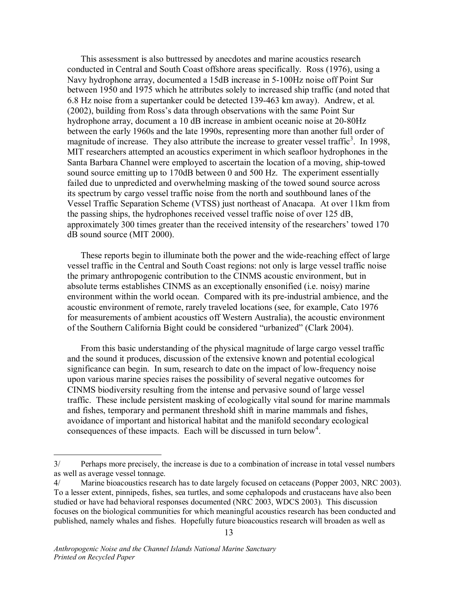This assessment is also buttressed by anecdotes and marine acoustics research conducted in Central and South Coast offshore areas specifically. Ross (1976), using a Navy hydrophone array, documented a 15dB increase in 5-100Hz noise off Point Sur between 1950 and 1975 which he attributes solely to increased ship traffic (and noted that 6.8 Hz noise from a supertanker could be detected 139-463 km away). Andrew, et al. (2002), building from Ross's data through observations with the same Point Sur hydrophone array, document a 10 dB increase in ambient oceanic noise at 20-80Hz between the early 1960s and the late 1990s, representing more than another full order of magnitude of increase. They also attribute the increase to greater vessel traffic<sup>3</sup>. In 1998, MIT researchers attempted an acoustics experiment in which seafloor hydrophones in the Santa Barbara Channel were employed to ascertain the location of a moving, ship-towed sound source emitting up to 170dB between 0 and 500 Hz. The experiment essentially failed due to unpredicted and overwhelming masking of the towed sound source across its spectrum by cargo vessel traffic noise from the north and southbound lanes of the Vessel Traffic Separation Scheme (VTSS) just northeast of Anacapa. At over 11km from the passing ships, the hydrophones received vessel traffic noise of over 125 dB, approximately 300 times greater than the received intensity of the researchers' towed 170 dB sound source (MIT 2000).

 These reports begin to illuminate both the power and the wide-reaching effect of large vessel traffic in the Central and South Coast regions: not only is large vessel traffic noise the primary anthropogenic contribution to the CINMS acoustic environment, but in absolute terms establishes CINMS as an exceptionally ensonified (i.e. noisy) marine environment within the world ocean. Compared with its pre-industrial ambience, and the acoustic environment of remote, rarely traveled locations (see, for example, Cato 1976 for measurements of ambient acoustics off Western Australia), the acoustic environment of the Southern California Bight could be considered "urbanized" (Clark 2004).

 From this basic understanding of the physical magnitude of large cargo vessel traffic and the sound it produces, discussion of the extensive known and potential ecological significance can begin. In sum, research to date on the impact of low-frequency noise upon various marine species raises the possibility of several negative outcomes for CINMS biodiversity resulting from the intense and pervasive sound of large vessel traffic. These include persistent masking of ecologically vital sound for marine mammals and fishes, temporary and permanent threshold shift in marine mammals and fishes, avoidance of important and historical habitat and the manifold secondary ecological consequences of these impacts. Each will be discussed in turn below<sup>4</sup>.

<sup>3/</sup> Perhaps more precisely, the increase is due to a combination of increase in total vessel numbers as well as average vessel tonnage.

<sup>4/</sup> Marine bioacoustics research has to date largely focused on cetaceans (Popper 2003, NRC 2003). To a lesser extent, pinnipeds, fishes, sea turtles, and some cephalopods and crustaceans have also been studied or have had behavioral responses documented (NRC 2003, WDCS 2003). This discussion focuses on the biological communities for which meaningful acoustics research has been conducted and published, namely whales and fishes. Hopefully future bioacoustics research will broaden as well as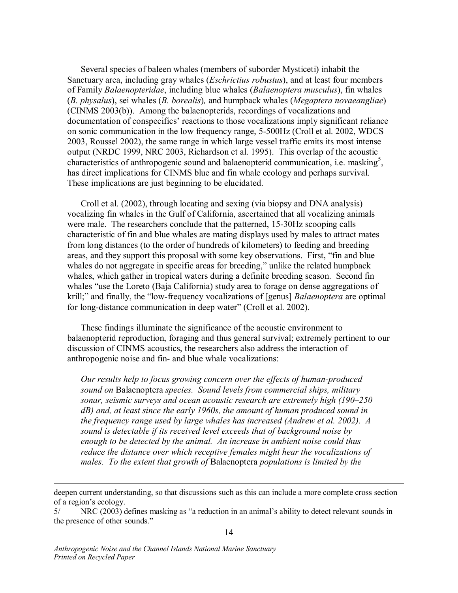Several species of baleen whales (members of suborder Mysticeti) inhabit the Sanctuary area, including gray whales (*Eschrictius robustus*), and at least four members of Family *Balaenopteridae*, including blue whales (*Balaenoptera musculus*), fin whales (*B. physalus*), sei whales (*B. borealis*)*,* and humpback whales (*Megaptera novaeangliae*) (CINMS 2003(b)). Among the balaenopterids, recordings of vocalizations and documentation of conspecifics' reactions to those vocalizations imply significant reliance on sonic communication in the low frequency range, 5-500Hz (Croll et al. 2002, WDCS 2003, Roussel 2002), the same range in which large vessel traffic emits its most intense output (NRDC 1999, NRC 2003, Richardson et al. 1995). This overlap of the acoustic characteristics of anthropogenic sound and balaenopterid communication, i.e. masking<sup>5</sup>, has direct implications for CINMS blue and fin whale ecology and perhaps survival. These implications are just beginning to be elucidated.

 Croll et al. (2002), through locating and sexing (via biopsy and DNA analysis) vocalizing fin whales in the Gulf of California, ascertained that all vocalizing animals were male. The researchers conclude that the patterned, 15-30Hz scooping calls characteristic of fin and blue whales are mating displays used by males to attract mates from long distances (to the order of hundreds of kilometers) to feeding and breeding areas, and they support this proposal with some key observations. First, "fin and blue whales do not aggregate in specific areas for breeding," unlike the related humpback whales, which gather in tropical waters during a definite breeding season. Second fin whales "use the Loreto (Baja California) study area to forage on dense aggregations of krill;" and finally, the "low-frequency vocalizations of [genus] *Balaenoptera* are optimal for long-distance communication in deep water" (Croll et al. 2002).

 These findings illuminate the significance of the acoustic environment to balaenopterid reproduction, foraging and thus general survival; extremely pertinent to our discussion of CINMS acoustics, the researchers also address the interaction of anthropogenic noise and fin- and blue whale vocalizations:

*Our results help to focus growing concern over the effects of human-produced sound on* Balaenoptera *species. Sound levels from commercial ships, military sonar, seismic surveys and ocean acoustic research are extremely high (190–250 dB) and, at least since the early 1960s, the amount of human produced sound in the frequency range used by large whales has increased (Andrew et al. 2002). A sound is detectable if its received level exceeds that of background noise by enough to be detected by the animal. An increase in ambient noise could thus reduce the distance over which receptive females might hear the vocalizations of males. To the extent that growth of* Balaenoptera *populations is limited by the* 

1

deepen current understanding, so that discussions such as this can include a more complete cross section of a region's ecology.

<sup>5/</sup> NRC (2003) defines masking as "a reduction in an animal's ability to detect relevant sounds in the presence of other sounds."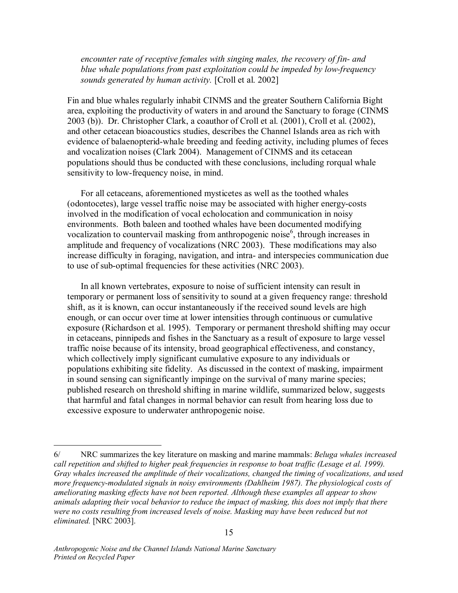*encounter rate of receptive females with singing males, the recovery of fin- and blue whale populations from past exploitation could be impeded by low-frequency sounds generated by human activity.* [Croll et al. 2002]

Fin and blue whales regularly inhabit CINMS and the greater Southern California Bight area, exploiting the productivity of waters in and around the Sanctuary to forage (CINMS 2003 (b)). Dr. Christopher Clark, a coauthor of Croll et al. (2001), Croll et al. (2002), and other cetacean bioacoustics studies, describes the Channel Islands area as rich with evidence of balaenopterid-whale breeding and feeding activity, including plumes of feces and vocalization noises (Clark 2004). Management of CINMS and its cetacean populations should thus be conducted with these conclusions, including rorqual whale sensitivity to low-frequency noise, in mind.

 For all cetaceans, aforementioned mysticetes as well as the toothed whales (odontocetes), large vessel traffic noise may be associated with higher energy-costs involved in the modification of vocal echolocation and communication in noisy environments. Both baleen and toothed whales have been documented modifying vocalization to countervail masking from anthropogenic noise<sup>6</sup>, through increases in amplitude and frequency of vocalizations (NRC 2003). These modifications may also increase difficulty in foraging, navigation, and intra- and interspecies communication due to use of sub-optimal frequencies for these activities (NRC 2003).

 In all known vertebrates, exposure to noise of sufficient intensity can result in temporary or permanent loss of sensitivity to sound at a given frequency range: threshold shift, as it is known, can occur instantaneously if the received sound levels are high enough, or can occur over time at lower intensities through continuous or cumulative exposure (Richardson et al. 1995). Temporary or permanent threshold shifting may occur in cetaceans, pinnipeds and fishes in the Sanctuary as a result of exposure to large vessel traffic noise because of its intensity, broad geographical effectiveness, and constancy, which collectively imply significant cumulative exposure to any individuals or populations exhibiting site fidelity. As discussed in the context of masking, impairment in sound sensing can significantly impinge on the survival of many marine species; published research on threshold shifting in marine wildlife, summarized below, suggests that harmful and fatal changes in normal behavior can result from hearing loss due to excessive exposure to underwater anthropogenic noise.

<sup>6/</sup> NRC summarizes the key literature on masking and marine mammals: *Beluga whales increased call repetition and shifted to higher peak frequencies in response to boat traffic (Lesage et al. 1999). Gray whales increased the amplitude of their vocalizations, changed the timing of vocalizations, and used more frequency-modulated signals in noisy environments (Dahlheim 1987). The physiological costs of ameliorating masking effects have not been reported. Although these examples all appear to show animals adapting their vocal behavior to reduce the impact of masking, this does not imply that there were no costs resulting from increased levels of noise. Masking may have been reduced but not eliminated.* [NRC 2003].

*Anthropogenic Noise and the Channel Islands National Marine Sanctuary Printed on Recycled Paper*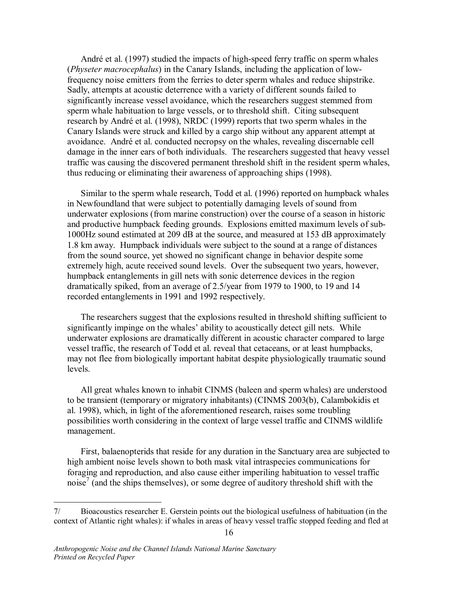André et al. (1997) studied the impacts of high-speed ferry traffic on sperm whales (*Physeter macrocephalus*) in the Canary Islands, including the application of lowfrequency noise emitters from the ferries to deter sperm whales and reduce shipstrike. Sadly, attempts at acoustic deterrence with a variety of different sounds failed to significantly increase vessel avoidance, which the researchers suggest stemmed from sperm whale habituation to large vessels, or to threshold shift. Citing subsequent research by André et al. (1998), NRDC (1999) reports that two sperm whales in the Canary Islands were struck and killed by a cargo ship without any apparent attempt at avoidance. André et al. conducted necropsy on the whales, revealing discernable cell damage in the inner ears of both individuals. The researchers suggested that heavy vessel traffic was causing the discovered permanent threshold shift in the resident sperm whales, thus reducing or eliminating their awareness of approaching ships (1998).

 Similar to the sperm whale research, Todd et al. (1996) reported on humpback whales in Newfoundland that were subject to potentially damaging levels of sound from underwater explosions (from marine construction) over the course of a season in historic and productive humpback feeding grounds. Explosions emitted maximum levels of sub-1000Hz sound estimated at 209 dB at the source, and measured at 153 dB approximately 1.8 km away. Humpback individuals were subject to the sound at a range of distances from the sound source, yet showed no significant change in behavior despite some extremely high, acute received sound levels. Over the subsequent two years, however, humpback entanglements in gill nets with sonic deterrence devices in the region dramatically spiked, from an average of 2.5/year from 1979 to 1900, to 19 and 14 recorded entanglements in 1991 and 1992 respectively.

 The researchers suggest that the explosions resulted in threshold shifting sufficient to significantly impinge on the whales' ability to acoustically detect gill nets. While underwater explosions are dramatically different in acoustic character compared to large vessel traffic, the research of Todd et al. reveal that cetaceans, or at least humpbacks, may not flee from biologically important habitat despite physiologically traumatic sound levels.

 All great whales known to inhabit CINMS (baleen and sperm whales) are understood to be transient (temporary or migratory inhabitants) (CINMS 2003(b), Calambokidis et al. 1998), which, in light of the aforementioned research, raises some troubling possibilities worth considering in the context of large vessel traffic and CINMS wildlife management.

 First, balaenopterids that reside for any duration in the Sanctuary area are subjected to high ambient noise levels shown to both mask vital intraspecies communications for foraging and reproduction, and also cause either imperiling habituation to vessel traffic noise<sup>7</sup> (and the ships themselves), or some degree of auditory threshold shift with the

<sup>7/</sup> Bioacoustics researcher E. Gerstein points out the biological usefulness of habituation (in the context of Atlantic right whales): if whales in areas of heavy vessel traffic stopped feeding and fled at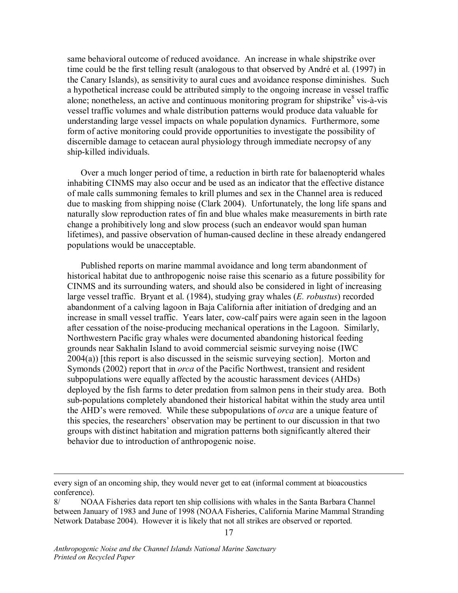same behavioral outcome of reduced avoidance. An increase in whale shipstrike over time could be the first telling result (analogous to that observed by André et al. (1997) in the Canary Islands), as sensitivity to aural cues and avoidance response diminishes. Such a hypothetical increase could be attributed simply to the ongoing increase in vessel traffic alone; nonetheless, an active and continuous monitoring program for shipstrike $\delta$  vis-à-vis vessel traffic volumes and whale distribution patterns would produce data valuable for understanding large vessel impacts on whale population dynamics. Furthermore, some form of active monitoring could provide opportunities to investigate the possibility of discernible damage to cetacean aural physiology through immediate necropsy of any ship-killed individuals.

 Over a much longer period of time, a reduction in birth rate for balaenopterid whales inhabiting CINMS may also occur and be used as an indicator that the effective distance of male calls summoning females to krill plumes and sex in the Channel area is reduced due to masking from shipping noise (Clark 2004). Unfortunately, the long life spans and naturally slow reproduction rates of fin and blue whales make measurements in birth rate change a prohibitively long and slow process (such an endeavor would span human lifetimes), and passive observation of human-caused decline in these already endangered populations would be unacceptable.

 Published reports on marine mammal avoidance and long term abandonment of historical habitat due to anthropogenic noise raise this scenario as a future possibility for CINMS and its surrounding waters, and should also be considered in light of increasing large vessel traffic. Bryant et al. (1984), studying gray whales (*E. robustus*) recorded abandonment of a calving lagoon in Baja California after initiation of dredging and an increase in small vessel traffic. Years later, cow-calf pairs were again seen in the lagoon after cessation of the noise-producing mechanical operations in the Lagoon. Similarly, Northwestern Pacific gray whales were documented abandoning historical feeding grounds near Sakhalin Island to avoid commercial seismic surveying noise (IWC 2004(a)) [this report is also discussed in the seismic surveying section]. Morton and Symonds (2002) report that in *orca* of the Pacific Northwest, transient and resident subpopulations were equally affected by the acoustic harassment devices (AHDs) deployed by the fish farms to deter predation from salmon pens in their study area. Both sub-populations completely abandoned their historical habitat within the study area until the AHD's were removed. While these subpopulations of *orca* are a unique feature of this species, the researchers' observation may be pertinent to our discussion in that two groups with distinct habitation and migration patterns both significantly altered their behavior due to introduction of anthropogenic noise.

every sign of an oncoming ship, they would never get to eat (informal comment at bioacoustics conference).

<sup>8/</sup> NOAA Fisheries data report ten ship collisions with whales in the Santa Barbara Channel between January of 1983 and June of 1998 (NOAA Fisheries, California Marine Mammal Stranding Network Database 2004). However it is likely that not all strikes are observed or reported.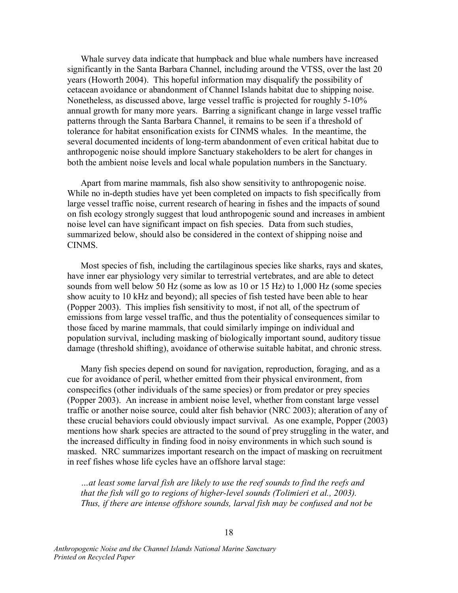Whale survey data indicate that humpback and blue whale numbers have increased significantly in the Santa Barbara Channel, including around the VTSS, over the last 20 years (Howorth 2004). This hopeful information may disqualify the possibility of cetacean avoidance or abandonment of Channel Islands habitat due to shipping noise. Nonetheless, as discussed above, large vessel traffic is projected for roughly 5-10% annual growth for many more years. Barring a significant change in large vessel traffic patterns through the Santa Barbara Channel, it remains to be seen if a threshold of tolerance for habitat ensonification exists for CINMS whales. In the meantime, the several documented incidents of long-term abandonment of even critical habitat due to anthropogenic noise should implore Sanctuary stakeholders to be alert for changes in both the ambient noise levels and local whale population numbers in the Sanctuary.

 Apart from marine mammals, fish also show sensitivity to anthropogenic noise. While no in-depth studies have yet been completed on impacts to fish specifically from large vessel traffic noise, current research of hearing in fishes and the impacts of sound on fish ecology strongly suggest that loud anthropogenic sound and increases in ambient noise level can have significant impact on fish species. Data from such studies, summarized below, should also be considered in the context of shipping noise and CINMS.

 Most species of fish, including the cartilaginous species like sharks, rays and skates, have inner ear physiology very similar to terrestrial vertebrates, and are able to detect sounds from well below 50 Hz (some as low as 10 or 15 Hz) to 1,000 Hz (some species show acuity to 10 kHz and beyond); all species of fish tested have been able to hear (Popper 2003). This implies fish sensitivity to most, if not all, of the spectrum of emissions from large vessel traffic, and thus the potentiality of consequences similar to those faced by marine mammals, that could similarly impinge on individual and population survival, including masking of biologically important sound, auditory tissue damage (threshold shifting), avoidance of otherwise suitable habitat, and chronic stress.

 Many fish species depend on sound for navigation, reproduction, foraging, and as a cue for avoidance of peril, whether emitted from their physical environment, from conspecifics (other individuals of the same species) or from predator or prey species (Popper 2003). An increase in ambient noise level, whether from constant large vessel traffic or another noise source, could alter fish behavior (NRC 2003); alteration of any of these crucial behaviors could obviously impact survival. As one example, Popper (2003) mentions how shark species are attracted to the sound of prey struggling in the water, and the increased difficulty in finding food in noisy environments in which such sound is masked. NRC summarizes important research on the impact of masking on recruitment in reef fishes whose life cycles have an offshore larval stage:

*…at least some larval fish are likely to use the reef sounds to find the reefs and that the fish will go to regions of higher-level sounds (Tolimieri et al., 2003). Thus, if there are intense offshore sounds, larval fish may be confused and not be* 

*Anthropogenic Noise and the Channel Islands National Marine Sanctuary Printed on Recycled Paper*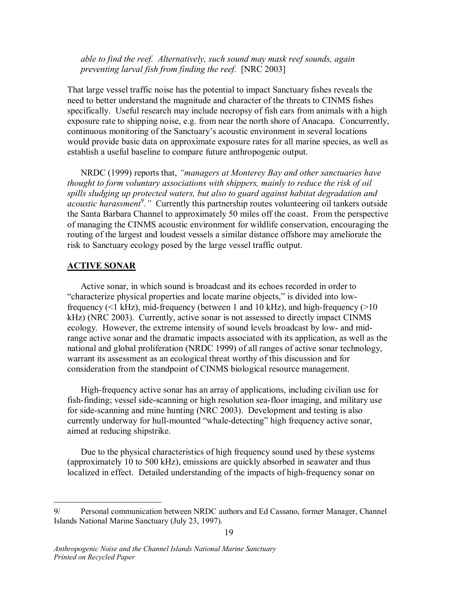*able to find the reef. Alternatively, such sound may mask reef sounds, again preventing larval fish from finding the reef.* [NRC 2003]

That large vessel traffic noise has the potential to impact Sanctuary fishes reveals the need to better understand the magnitude and character of the threats to CINMS fishes specifically. Useful research may include necropsy of fish ears from animals with a high exposure rate to shipping noise, e.g. from near the north shore of Anacapa. Concurrently, continuous monitoring of the Sanctuary's acoustic environment in several locations would provide basic data on approximate exposure rates for all marine species, as well as establish a useful baseline to compare future anthropogenic output.

 NRDC (1999) reports that, *"managers at Monterey Bay and other sanctuaries have thought to form voluntary associations with shippers, mainly to reduce the risk of oil spills sludging up protected waters, but also to guard against habitat degradation and acoustic harassment<sup>9</sup> ."* Currently this partnership routes volunteering oil tankers outside the Santa Barbara Channel to approximately 50 miles off the coast. From the perspective of managing the CINMS acoustic environment for wildlife conservation, encouraging the routing of the largest and loudest vessels a similar distance offshore may ameliorate the risk to Sanctuary ecology posed by the large vessel traffic output.

#### **ACTIVE SONAR**

1

 Active sonar, in which sound is broadcast and its echoes recorded in order to "characterize physical properties and locate marine objects," is divided into lowfrequency (<1 kHz), mid-frequency (between 1 and 10 kHz), and high-frequency ( $>10$ kHz) (NRC 2003). Currently, active sonar is not assessed to directly impact CINMS ecology. However, the extreme intensity of sound levels broadcast by low- and midrange active sonar and the dramatic impacts associated with its application, as well as the national and global proliferation (NRDC 1999) of all ranges of active sonar technology, warrant its assessment as an ecological threat worthy of this discussion and for consideration from the standpoint of CINMS biological resource management.

 High-frequency active sonar has an array of applications, including civilian use for fish-finding; vessel side-scanning or high resolution sea-floor imaging, and military use for side-scanning and mine hunting (NRC 2003). Development and testing is also currently underway for hull-mounted "whale-detecting" high frequency active sonar, aimed at reducing shipstrike.

 Due to the physical characteristics of high frequency sound used by these systems (approximately 10 to 500 kHz), emissions are quickly absorbed in seawater and thus localized in effect. Detailed understanding of the impacts of high-frequency sonar on

<sup>9/</sup> Personal communication between NRDC authors and Ed Cassano, former Manager, Channel Islands National Marine Sanctuary (July 23, 1997).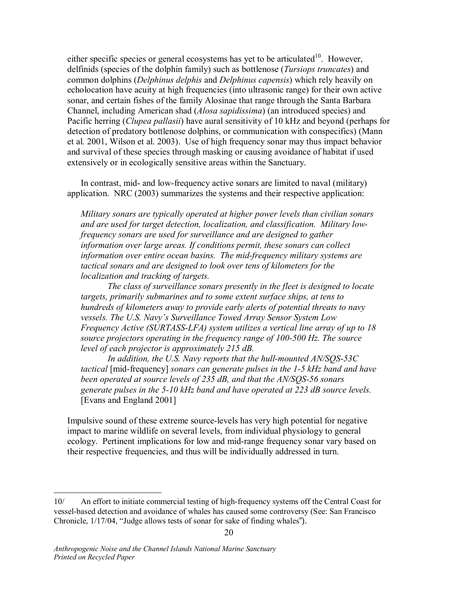either specific species or general ecosystems has yet to be articulated<sup>10</sup>. However, delfinids (species of the dolphin family) such as bottlenose (*Tursiops truncates*) and common dolphins (*Delphinus delphis* and *Delphinus capensis*) which rely heavily on echolocation have acuity at high frequencies (into ultrasonic range) for their own active sonar, and certain fishes of the family Alosinae that range through the Santa Barbara Channel, including American shad (*Alosa sapidissima*) (an introduced species) and Pacific herring (*Clupea pallasii*) have aural sensitivity of 10 kHz and beyond (perhaps for detection of predatory bottlenose dolphins, or communication with conspecifics) (Mann et al. 2001, Wilson et al. 2003). Use of high frequency sonar may thus impact behavior and survival of these species through masking or causing avoidance of habitat if used extensively or in ecologically sensitive areas within the Sanctuary.

 In contrast, mid- and low-frequency active sonars are limited to naval (military) application. NRC (2003) summarizes the systems and their respective application:

*Military sonars are typically operated at higher power levels than civilian sonars and are used for target detection, localization, and classification. Military lowfrequency sonars are used for surveillance and are designed to gather information over large areas. If conditions permit, these sonars can collect information over entire ocean basins. The mid-frequency military systems are tactical sonars and are designed to look over tens of kilometers for the localization and tracking of targets.* 

 *The class of surveillance sonars presently in the fleet is designed to locate targets, primarily submarines and to some extent surface ships, at tens to hundreds of kilometers away to provide early alerts of potential threats to navy vessels. The U.S. Navy's Surveillance Towed Array Sensor System Low Frequency Active (SURTASS-LFA) system utilizes a vertical line array of up to 18 source projectors operating in the frequency range of 100-500 Hz. The source level of each projector is approximately 215 dB.* 

 *In addition, the U.S. Navy reports that the hull-mounted AN/SQS-53C tactical* [mid-frequency] *sonars can generate pulses in the 1-5 kHz band and have been operated at source levels of 235 dB, and that the AN/SQS-56 sonars generate pulses in the 5-10 kHz band and have operated at 223 dB source levels.*  [Evans and England 2001]

Impulsive sound of these extreme source-levels has very high potential for negative impact to marine wildlife on several levels, from individual physiology to general ecology. Pertinent implications for low and mid-range frequency sonar vary based on their respective frequencies, and thus will be individually addressed in turn.

1

<sup>10/</sup> An effort to initiate commercial testing of high-frequency systems off the Central Coast for vessel-based detection and avoidance of whales has caused some controversy (See: San Francisco Chronicle, 1/17/04, "Judge allows tests of sonar for sake of finding whales").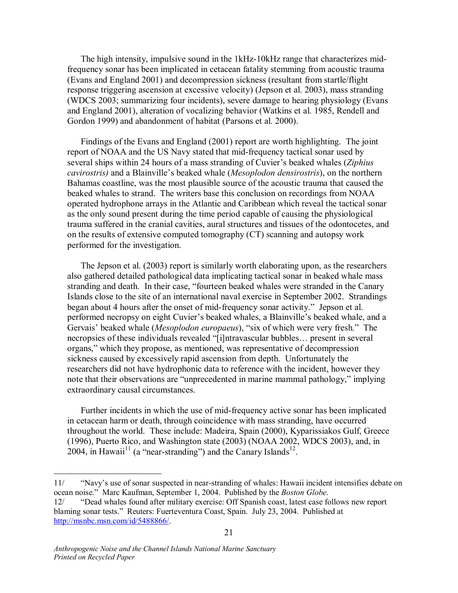The high intensity, impulsive sound in the 1kHz-10kHz range that characterizes midfrequency sonar has been implicated in cetacean fatality stemming from acoustic trauma (Evans and England 2001) and decompression sickness (resultant from startle/flight response triggering ascension at excessive velocity) (Jepson et al. 2003), mass stranding (WDCS 2003; summarizing four incidents), severe damage to hearing physiology (Evans and England 2001), alteration of vocalizing behavior (Watkins et al. 1985, Rendell and Gordon 1999) and abandonment of habitat (Parsons et al. 2000).

 Findings of the Evans and England (2001) report are worth highlighting. The joint report of NOAA and the US Navy stated that mid-frequency tactical sonar used by several ships within 24 hours of a mass stranding of Cuvier's beaked whales (*Ziphius cavirostris)* and a Blainville's beaked whale (*Mesoplodon densirostris*), on the northern Bahamas coastline, was the most plausible source of the acoustic trauma that caused the beaked whales to strand. The writers base this conclusion on recordings from NOAA operated hydrophone arrays in the Atlantic and Caribbean which reveal the tactical sonar as the only sound present during the time period capable of causing the physiological trauma suffered in the cranial cavities, aural structures and tissues of the odontocetes, and on the results of extensive computed tomography (CT) scanning and autopsy work performed for the investigation.

 The Jepson et al. (2003) report is similarly worth elaborating upon, as the researchers also gathered detailed pathological data implicating tactical sonar in beaked whale mass stranding and death. In their case, "fourteen beaked whales were stranded in the Canary Islands close to the site of an international naval exercise in September 2002. Strandings began about 4 hours after the onset of mid-frequency sonar activity." Jepson et al. performed necropsy on eight Cuvier's beaked whales, a Blainville's beaked whale, and a Gervais' beaked whale (*Mesoplodon europaeus*), "six of which were very fresh." The necropsies of these individuals revealed "[i]ntravascular bubbles… present in several organs," which they propose, as mentioned, was representative of decompression sickness caused by excessively rapid ascension from depth. Unfortunately the researchers did not have hydrophonic data to reference with the incident, however they note that their observations are "unprecedented in marine mammal pathology," implying extraordinary causal circumstances.

 Further incidents in which the use of mid-frequency active sonar has been implicated in cetacean harm or death, through coincidence with mass stranding, have occurred throughout the world. These include: Madeira, Spain (2000), Kyparissiakos Gulf, Greece (1996), Puerto Rico, and Washington state (2003) (NOAA 2002, WDCS 2003), and, in 2004, in Hawaii<sup>11</sup> (a "near-stranding") and the Canary Islands<sup>12</sup>.

<sup>11/ &</sup>quot;Navy's use of sonar suspected in near-stranding of whales: Hawaii incident intensifies debate on ocean noise." Marc Kaufman, September 1, 2004. Published by the *Boston Globe*.

<sup>12/ &</sup>quot;Dead whales found after military exercise: Off Spanish coast, latest case follows new report blaming sonar tests." Reuters: Fuerteventura Coast, Spain. July 23, 2004. Published at http://msnbc.msn.com/id/5488866/.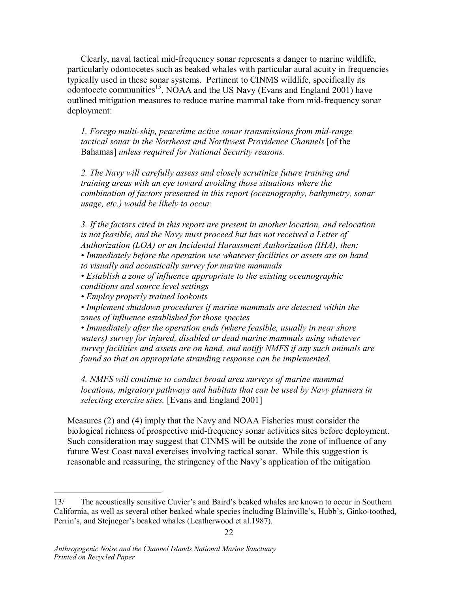Clearly, naval tactical mid-frequency sonar represents a danger to marine wildlife, particularly odontocetes such as beaked whales with particular aural acuity in frequencies typically used in these sonar systems. Pertinent to CINMS wildlife, specifically its odontocete communities<sup>13</sup>, NOAA and the US Navy (Evans and England 2001) have outlined mitigation measures to reduce marine mammal take from mid-frequency sonar deployment:

*1. Forego multi-ship, peacetime active sonar transmissions from mid-range tactical sonar in the Northeast and Northwest Providence Channels* [of the Bahamas] *unless required for National Security reasons.* 

*2. The Navy will carefully assess and closely scrutinize future training and training areas with an eye toward avoiding those situations where the combination of factors presented in this report (oceanography, bathymetry, sonar usage, etc.) would be likely to occur.* 

*3. If the factors cited in this report are present in another location, and relocation is not feasible, and the Navy must proceed but has not received a Letter of Authorization (LOA) or an Incidental Harassment Authorization (IHA), then:* 

*• Immediately before the operation use whatever facilities or assets are on hand to visually and acoustically survey for marine mammals* 

*• Establish a zone of influence appropriate to the existing oceanographic conditions and source level settings* 

*• Employ properly trained lookouts* 

*• Implement shutdown procedures if marine mammals are detected within the zones of influence established for those species* 

*• Immediately after the operation ends (where feasible, usually in near shore waters) survey for injured, disabled or dead marine mammals using whatever survey facilities and assets are on hand, and notify NMFS if any such animals are found so that an appropriate stranding response can be implemented.* 

*4. NMFS will continue to conduct broad area surveys of marine mammal locations, migratory pathways and habitats that can be used by Navy planners in selecting exercise sites.* [Evans and England 2001]

Measures (2) and (4) imply that the Navy and NOAA Fisheries must consider the biological richness of prospective mid-frequency sonar activities sites before deployment. Such consideration may suggest that CINMS will be outside the zone of influence of any future West Coast naval exercises involving tactical sonar. While this suggestion is reasonable and reassuring, the stringency of the Navy's application of the mitigation

<sup>13/</sup> The acoustically sensitive Cuvier's and Baird's beaked whales are known to occur in Southern California, as well as several other beaked whale species including Blainville's, Hubb's, Ginko-toothed, Perrin's, and Stejneger's beaked whales (Leatherwood et al.1987).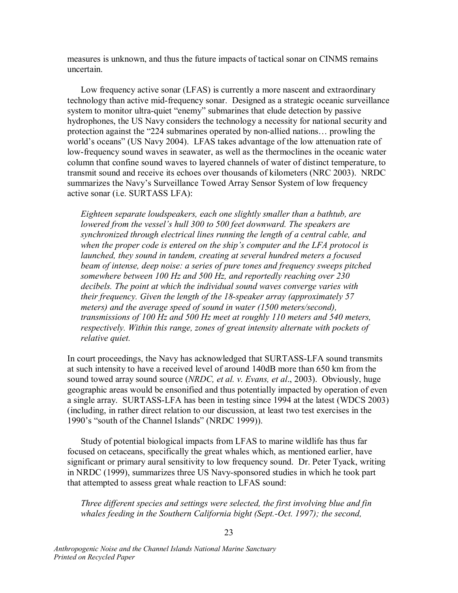measures is unknown, and thus the future impacts of tactical sonar on CINMS remains uncertain.

 Low frequency active sonar (LFAS) is currently a more nascent and extraordinary technology than active mid-frequency sonar. Designed as a strategic oceanic surveillance system to monitor ultra-quiet "enemy" submarines that elude detection by passive hydrophones, the US Navy considers the technology a necessity for national security and protection against the "224 submarines operated by non-allied nations… prowling the world's oceans" (US Navy 2004). LFAS takes advantage of the low attenuation rate of low-frequency sound waves in seawater, as well as the thermoclines in the oceanic water column that confine sound waves to layered channels of water of distinct temperature, to transmit sound and receive its echoes over thousands of kilometers (NRC 2003). NRDC summarizes the Navy's Surveillance Towed Array Sensor System of low frequency active sonar (i.e. SURTASS LFA):

*Eighteen separate loudspeakers, each one slightly smaller than a bathtub, are lowered from the vessel's hull 300 to 500 feet downward. The speakers are synchronized through electrical lines running the length of a central cable, and when the proper code is entered on the ship's computer and the LFA protocol is launched, they sound in tandem, creating at several hundred meters a focused beam of intense, deep noise: a series of pure tones and frequency sweeps pitched somewhere between 100 Hz and 500 Hz, and reportedly reaching over 230 decibels. The point at which the individual sound waves converge varies with their frequency. Given the length of the 18-speaker array (approximately 57 meters) and the average speed of sound in water (1500 meters/second), transmissions of 100 Hz and 500 Hz meet at roughly 110 meters and 540 meters, respectively. Within this range, zones of great intensity alternate with pockets of relative quiet.* 

In court proceedings, the Navy has acknowledged that SURTASS-LFA sound transmits at such intensity to have a received level of around 140dB more than 650 km from the sound towed array sound source (*NRDC, et al. v. Evans, et al*., 2003). Obviously, huge geographic areas would be ensonified and thus potentially impacted by operation of even a single array. SURTASS-LFA has been in testing since 1994 at the latest (WDCS 2003) (including, in rather direct relation to our discussion, at least two test exercises in the 1990's "south of the Channel Islands" (NRDC 1999)).

 Study of potential biological impacts from LFAS to marine wildlife has thus far focused on cetaceans, specifically the great whales which, as mentioned earlier, have significant or primary aural sensitivity to low frequency sound. Dr. Peter Tyack, writing in NRDC (1999), summarizes three US Navy-sponsored studies in which he took part that attempted to assess great whale reaction to LFAS sound:

*Three different species and settings were selected, the first involving blue and fin whales feeding in the Southern California bight (Sept.-Oct. 1997); the second,* 

*Anthropogenic Noise and the Channel Islands National Marine Sanctuary Printed on Recycled Paper*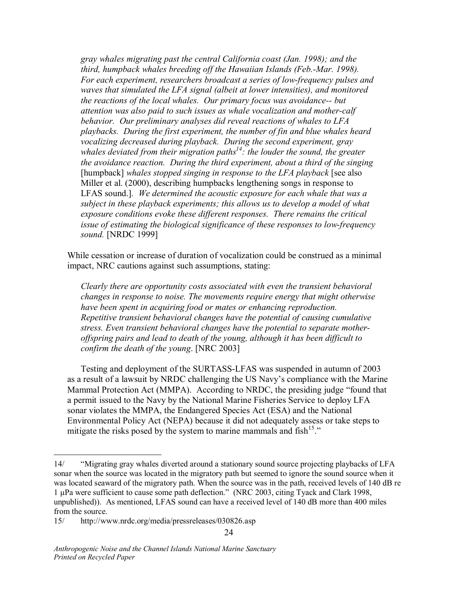*gray whales migrating past the central California coast (Jan. 1998); and the third, humpback whales breeding off the Hawaiian Islands (Feb.-Mar. 1998). For each experiment, researchers broadcast a series of low-frequency pulses and waves that simulated the LFA signal (albeit at lower intensities), and monitored the reactions of the local whales. Our primary focus was avoidance-- but attention was also paid to such issues as whale vocalization and mother-calf behavior. Our preliminary analyses did reveal reactions of whales to LFA playbacks. During the first experiment, the number of fin and blue whales heard vocalizing decreased during playback. During the second experiment, gray*  whales deviated from their migration paths<sup>14</sup>: the louder the sound, the greater *the avoidance reaction. During the third experiment, about a third of the singing*  [humpback] *whales stopped singing in response to the LFA playback* [see also Miller et al. (2000), describing humpbacks lengthening songs in response to LFAS sound.]*. We determined the acoustic exposure for each whale that was a subject in these playback experiments; this allows us to develop a model of what exposure conditions evoke these different responses. There remains the critical issue of estimating the biological significance of these responses to low-frequency sound.* [NRDC 1999]

While cessation or increase of duration of vocalization could be construed as a minimal impact, NRC cautions against such assumptions, stating:

*Clearly there are opportunity costs associated with even the transient behavioral changes in response to noise. The movements require energy that might otherwise have been spent in acquiring food or mates or enhancing reproduction. Repetitive transient behavioral changes have the potential of causing cumulative stress. Even transient behavioral changes have the potential to separate motheroffspring pairs and lead to death of the young, although it has been difficult to confirm the death of the young*. [NRC 2003]

 Testing and deployment of the SURTASS-LFAS was suspended in autumn of 2003 as a result of a lawsuit by NRDC challenging the US Navy's compliance with the Marine Mammal Protection Act (MMPA). According to NRDC, the presiding judge "found that a permit issued to the Navy by the National Marine Fisheries Service to deploy LFA sonar violates the MMPA, the Endangered Species Act (ESA) and the National Environmental Policy Act (NEPA) because it did not adequately assess or take steps to mitigate the risks posed by the system to marine mammals and fish<sup>15</sup>."

<u>.</u>

<sup>14/ &</sup>quot;Migrating gray whales diverted around a stationary sound source projecting playbacks of LFA sonar when the source was located in the migratory path but seemed to ignore the sound source when it was located seaward of the migratory path. When the source was in the path, received levels of 140 dB re 1 µPa were sufficient to cause some path deflection." (NRC 2003, citing Tyack and Clark 1998, unpublished)). As mentioned, LFAS sound can have a received level of 140 dB more than 400 miles from the source.

<sup>15/</sup> http://www.nrdc.org/media/pressreleases/030826.asp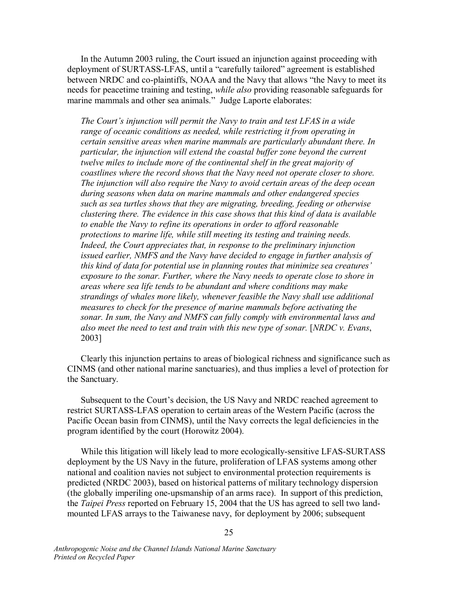In the Autumn 2003 ruling, the Court issued an injunction against proceeding with deployment of SURTASS-LFAS, until a "carefully tailored" agreement is established between NRDC and co-plaintiffs, NOAA and the Navy that allows "the Navy to meet its needs for peacetime training and testing, *while also* providing reasonable safeguards for marine mammals and other sea animals." Judge Laporte elaborates:

*The Court's injunction will permit the Navy to train and test LFAS in a wide range of oceanic conditions as needed, while restricting it from operating in certain sensitive areas when marine mammals are particularly abundant there. In particular, the injunction will extend the coastal buffer zone beyond the current twelve miles to include more of the continental shelf in the great majority of coastlines where the record shows that the Navy need not operate closer to shore. The injunction will also require the Navy to avoid certain areas of the deep ocean during seasons when data on marine mammals and other endangered species such as sea turtles shows that they are migrating, breeding, feeding or otherwise clustering there. The evidence in this case shows that this kind of data is available to enable the Navy to refine its operations in order to afford reasonable protections to marine life, while still meeting its testing and training needs. Indeed, the Court appreciates that, in response to the preliminary injunction issued earlier, NMFS and the Navy have decided to engage in further analysis of this kind of data for potential use in planning routes that minimize sea creatures' exposure to the sonar. Further, where the Navy needs to operate close to shore in areas where sea life tends to be abundant and where conditions may make strandings of whales more likely, whenever feasible the Navy shall use additional measures to check for the presence of marine mammals before activating the sonar. In sum, the Navy and NMFS can fully comply with environmental laws and also meet the need to test and train with this new type of sonar.* [*NRDC v. Evans*, 2003]

 Clearly this injunction pertains to areas of biological richness and significance such as CINMS (and other national marine sanctuaries), and thus implies a level of protection for the Sanctuary.

 Subsequent to the Court's decision, the US Navy and NRDC reached agreement to restrict SURTASS-LFAS operation to certain areas of the Western Pacific (across the Pacific Ocean basin from CINMS), until the Navy corrects the legal deficiencies in the program identified by the court (Horowitz 2004).

 While this litigation will likely lead to more ecologically-sensitive LFAS-SURTASS deployment by the US Navy in the future, proliferation of LFAS systems among other national and coalition navies not subject to environmental protection requirements is predicted (NRDC 2003), based on historical patterns of military technology dispersion (the globally imperiling one-upsmanship of an arms race). In support of this prediction, the *Taipei Press* reported on February 15, 2004 that the US has agreed to sell two landmounted LFAS arrays to the Taiwanese navy, for deployment by 2006; subsequent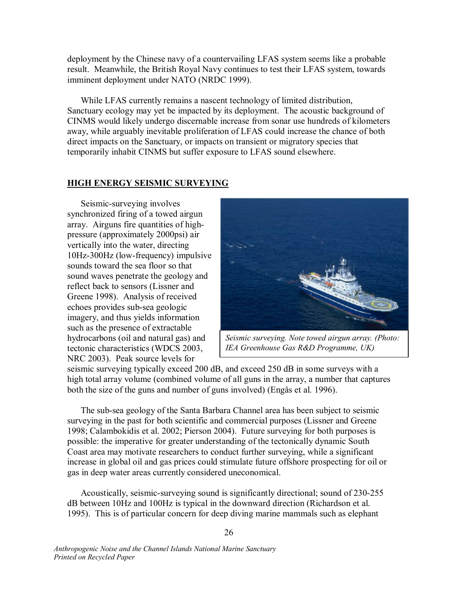deployment by the Chinese navy of a countervailing LFAS system seems like a probable result. Meanwhile, the British Royal Navy continues to test their LFAS system, towards imminent deployment under NATO (NRDC 1999).

 While LFAS currently remains a nascent technology of limited distribution, Sanctuary ecology may yet be impacted by its deployment. The acoustic background of CINMS would likely undergo discernable increase from sonar use hundreds of kilometers away, while arguably inevitable proliferation of LFAS could increase the chance of both direct impacts on the Sanctuary, or impacts on transient or migratory species that temporarily inhabit CINMS but suffer exposure to LFAS sound elsewhere.

# **HIGH ENERGY SEISMIC SURVEYING**

 Seismic-surveying involves synchronized firing of a towed airgun array. Airguns fire quantities of highpressure (approximately 2000psi) air vertically into the water, directing 10Hz-300Hz (low-frequency) impulsive sounds toward the sea floor so that sound waves penetrate the geology and reflect back to sensors (Lissner and Greene 1998). Analysis of received echoes provides sub-sea geologic imagery, and thus yields information such as the presence of extractable hydrocarbons (oil and natural gas) and tectonic characteristics (WDCS 2003, NRC 2003). Peak source levels for



*Seismic surveying. Note towed airgun array. (Photo: IEA Greenhouse Gas R&D Programme, UK)*

seismic surveying typically exceed 200 dB, and exceed 250 dB in some surveys with a high total array volume (combined volume of all guns in the array, a number that captures both the size of the guns and number of guns involved) (Engås et al. 1996).

 The sub-sea geology of the Santa Barbara Channel area has been subject to seismic surveying in the past for both scientific and commercial purposes (Lissner and Greene 1998; Calambokidis et al. 2002; Pierson 2004). Future surveying for both purposes is possible: the imperative for greater understanding of the tectonically dynamic South Coast area may motivate researchers to conduct further surveying, while a significant increase in global oil and gas prices could stimulate future offshore prospecting for oil or gas in deep water areas currently considered uneconomical.

 Acoustically, seismic-surveying sound is significantly directional; sound of 230-255 dB between 10Hz and 100Hz is typical in the downward direction (Richardson et al. 1995). This is of particular concern for deep diving marine mammals such as elephant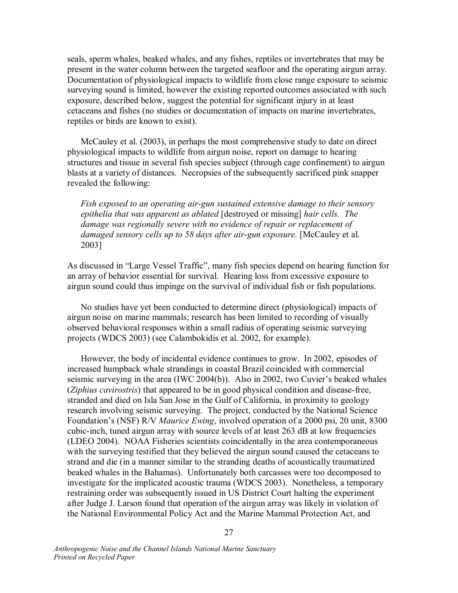seals, sperm whales, beaked whales, and any fishes, reptiles or invertebrates that may be present in the water column between the targeted seafloor and the operating airgun array. Documentation of physiological impacts to wildlife from close range exposure to seismic surveying sound is limited, however the existing reported outcomes associated with such exposure, described below, suggest the potential for significant injury in at least cetaceans and fishes (no studies or documentation of impacts on marine invertebrates, reptiles or birds are known to exist).

 McCauley et al. (2003), in perhaps the most comprehensive study to date on direct physiological impacts to wildlife from airgun noise, report on damage to hearing structures and tissue in several fish species subject (through cage confinement) to airgun blasts at a variety of distances. Necropsies of the subsequently sacrificed pink snapper revealed the following:

*Fish exposed to an operating air-gun sustained extensive damage to their sensory epithelia that was apparent as ablated* [destroyed or missing] *hair cells. The damage was regionally severe with no evidence of repair or replacement of damaged sensory cells up to 58 days after air-gun exposure.* [McCauley et al. 2003]

As discussed in "Large Vessel Traffic", many fish species depend on hearing function for an array of behavior essential for survival. Hearing loss from excessive exposure to airgun sound could thus impinge on the survival of individual fish or fish populations.

 No studies have yet been conducted to determine direct (physiological) impacts of airgun noise on marine mammals; research has been limited to recording of visually observed behavioral responses within a small radius of operating seismic surveying projects (WDCS 2003) (see Calambokidis et al. 2002, for example).

 However, the body of incidental evidence continues to grow. In 2002, episodes of increased humpback whale strandings in coastal Brazil coincided with commercial seismic surveying in the area (IWC 2004(b)). Also in 2002, two Cuvier's beaked whales (*Ziphius cavirostris*) that appeared to be in good physical condition and disease-free, stranded and died on Isla San Jose in the Gulf of California, in proximity to geology research involving seismic surveying. The project, conducted by the National Science Foundation's (NSF) R/V *Maurice Ewing*, involved operation of a 2000 psi, 20 unit, 8300 cubic-inch, tuned airgun array with source levels of at least 263 dB at low frequencies (LDEO 2004). NOAA Fisheries scientists coincidentally in the area contemporaneous with the surveying testified that they believed the airgun sound caused the cetaceans to strand and die (in a manner similar to the stranding deaths of acoustically traumatized beaked whales in the Bahamas). Unfortunately both carcasses were too decomposed to investigate for the implicated acoustic trauma (WDCS 2003). Nonetheless, a temporary restraining order was subsequently issued in US District Court halting the experiment after Judge J. Larson found that operation of the airgun array was likely in violation of the National Environmental Policy Act and the Marine Mammal Protection Act, and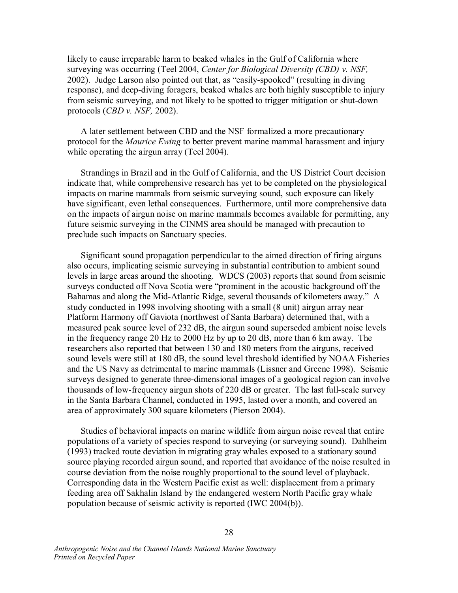likely to cause irreparable harm to beaked whales in the Gulf of California where surveying was occurring (Teel 2004, *Center for Biological Diversity (CBD) v. NSF,* 2002). Judge Larson also pointed out that, as "easily-spooked" (resulting in diving response), and deep-diving foragers, beaked whales are both highly susceptible to injury from seismic surveying, and not likely to be spotted to trigger mitigation or shut-down protocols (*CBD v. NSF,* 2002).

 A later settlement between CBD and the NSF formalized a more precautionary protocol for the *Maurice Ewing* to better prevent marine mammal harassment and injury while operating the airgun array (Teel 2004).

 Strandings in Brazil and in the Gulf of California, and the US District Court decision indicate that, while comprehensive research has yet to be completed on the physiological impacts on marine mammals from seismic surveying sound, such exposure can likely have significant, even lethal consequences. Furthermore, until more comprehensive data on the impacts of airgun noise on marine mammals becomes available for permitting, any future seismic surveying in the CINMS area should be managed with precaution to preclude such impacts on Sanctuary species.

 Significant sound propagation perpendicular to the aimed direction of firing airguns also occurs, implicating seismic surveying in substantial contribution to ambient sound levels in large areas around the shooting. WDCS (2003) reports that sound from seismic surveys conducted off Nova Scotia were "prominent in the acoustic background off the Bahamas and along the Mid-Atlantic Ridge, several thousands of kilometers away." A study conducted in 1998 involving shooting with a small (8 unit) airgun array near Platform Harmony off Gaviota (northwest of Santa Barbara) determined that, with a measured peak source level of 232 dB, the airgun sound superseded ambient noise levels in the frequency range 20 Hz to 2000 Hz by up to 20 dB, more than 6 km away. The researchers also reported that between 130 and 180 meters from the airguns, received sound levels were still at 180 dB, the sound level threshold identified by NOAA Fisheries and the US Navy as detrimental to marine mammals (Lissner and Greene 1998). Seismic surveys designed to generate three-dimensional images of a geological region can involve thousands of low-frequency airgun shots of 220 dB or greater. The last full-scale survey in the Santa Barbara Channel, conducted in 1995, lasted over a month, and covered an area of approximately 300 square kilometers (Pierson 2004).

 Studies of behavioral impacts on marine wildlife from airgun noise reveal that entire populations of a variety of species respond to surveying (or surveying sound). Dahlheim (1993) tracked route deviation in migrating gray whales exposed to a stationary sound source playing recorded airgun sound, and reported that avoidance of the noise resulted in course deviation from the noise roughly proportional to the sound level of playback. Corresponding data in the Western Pacific exist as well: displacement from a primary feeding area off Sakhalin Island by the endangered western North Pacific gray whale population because of seismic activity is reported (IWC 2004(b)).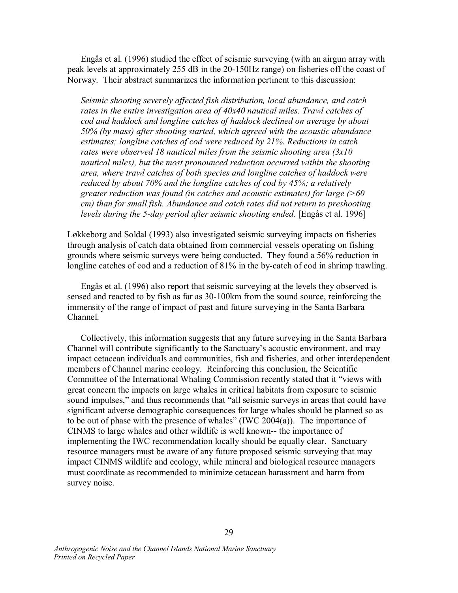Engås et al. (1996) studied the effect of seismic surveying (with an airgun array with peak levels at approximately 255 dB in the 20-150Hz range) on fisheries off the coast of Norway. Their abstract summarizes the information pertinent to this discussion:

*Seismic shooting severely affected fish distribution, local abundance, and catch*  rates in the entire investigation area of 40x40 nautical miles. Trawl catches of *cod and haddock and longline catches of haddock declined on average by about 50% (by mass) after shooting started, which agreed with the acoustic abundance estimates; longline catches of cod were reduced by 21%. Reductions in catch rates were observed 18 nautical miles from the seismic shooting area (3x10 nautical miles), but the most pronounced reduction occurred within the shooting area, where trawl catches of both species and longline catches of haddock were reduced by about 70% and the longline catches of cod by 45%; a relatively greater reduction was found (in catches and acoustic estimates) for large (>60 cm) than for small fish. Abundance and catch rates did not return to preshooting levels during the 5-day period after seismic shooting ended.* [Engås et al. 1996]

Løkkeborg and Soldal (1993) also investigated seismic surveying impacts on fisheries through analysis of catch data obtained from commercial vessels operating on fishing grounds where seismic surveys were being conducted. They found a 56% reduction in longline catches of cod and a reduction of 81% in the by-catch of cod in shrimp trawling.

 Engås et al. (1996) also report that seismic surveying at the levels they observed is sensed and reacted to by fish as far as 30-100km from the sound source, reinforcing the immensity of the range of impact of past and future surveying in the Santa Barbara Channel.

 Collectively, this information suggests that any future surveying in the Santa Barbara Channel will contribute significantly to the Sanctuary's acoustic environment, and may impact cetacean individuals and communities, fish and fisheries, and other interdependent members of Channel marine ecology. Reinforcing this conclusion, the Scientific Committee of the International Whaling Commission recently stated that it "views with great concern the impacts on large whales in critical habitats from exposure to seismic sound impulses," and thus recommends that "all seismic surveys in areas that could have significant adverse demographic consequences for large whales should be planned so as to be out of phase with the presence of whales" (IWC 2004(a)). The importance of CINMS to large whales and other wildlife is well known-- the importance of implementing the IWC recommendation locally should be equally clear. Sanctuary resource managers must be aware of any future proposed seismic surveying that may impact CINMS wildlife and ecology, while mineral and biological resource managers must coordinate as recommended to minimize cetacean harassment and harm from survey noise.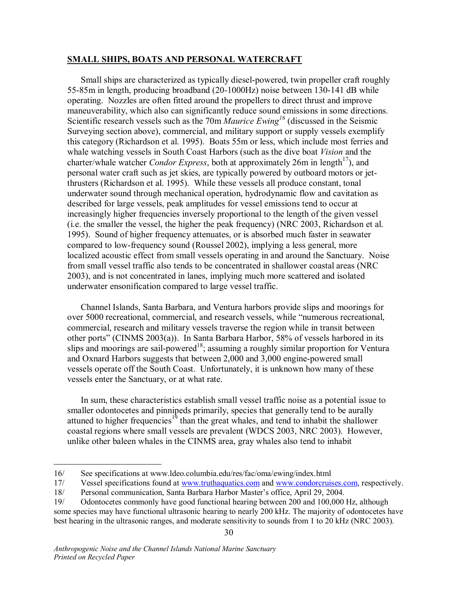#### **SMALL SHIPS, BOATS AND PERSONAL WATERCRAFT**

 Small ships are characterized as typically diesel-powered, twin propeller craft roughly 55-85m in length, producing broadband (20-1000Hz) noise between 130-141 dB while operating. Nozzles are often fitted around the propellers to direct thrust and improve maneuverability, which also can significantly reduce sound emissions in some directions. Scientific research vessels such as the 70m *Maurice Ewing<sup>16</sup>* (discussed in the Seismic Surveying section above), commercial, and military support or supply vessels exemplify this category (Richardson et al. 1995). Boats 55m or less, which include most ferries and whale watching vessels in South Coast Harbors (such as the dive boat *Vision* and the charter/whale watcher *Condor Express*, both at approximately 26m in length<sup>17</sup>), and personal water craft such as jet skies, are typically powered by outboard motors or jetthrusters (Richardson et al. 1995). While these vessels all produce constant, tonal underwater sound through mechanical operation, hydrodynamic flow and cavitation as described for large vessels, peak amplitudes for vessel emissions tend to occur at increasingly higher frequencies inversely proportional to the length of the given vessel (i.e. the smaller the vessel, the higher the peak frequency) (NRC 2003, Richardson et al. 1995). Sound of higher frequency attenuates, or is absorbed much faster in seawater compared to low-frequency sound (Roussel 2002), implying a less general, more localized acoustic effect from small vessels operating in and around the Sanctuary. Noise from small vessel traffic also tends to be concentrated in shallower coastal areas (NRC 2003), and is not concentrated in lanes, implying much more scattered and isolated underwater ensonification compared to large vessel traffic.

 Channel Islands, Santa Barbara, and Ventura harbors provide slips and moorings for over 5000 recreational, commercial, and research vessels, while "numerous recreational, commercial, research and military vessels traverse the region while in transit between other ports" (CINMS 2003(a)). In Santa Barbara Harbor, 58% of vessels harbored in its slips and moorings are sail-powered<sup>18</sup>; assuming a roughly similar proportion for Ventura and Oxnard Harbors suggests that between 2,000 and 3,000 engine-powered small vessels operate off the South Coast. Unfortunately, it is unknown how many of these vessels enter the Sanctuary, or at what rate.

 In sum, these characteristics establish small vessel traffic noise as a potential issue to smaller odontocetes and pinnipeds primarily, species that generally tend to be aurally attuned to higher frequencies<sup>19</sup> than the great whales, and tend to inhabit the shallower coastal regions where small vessels are prevalent (WDCS 2003, NRC 2003). However, unlike other baleen whales in the CINMS area, gray whales also tend to inhabit

1

<sup>16/</sup> See specifications at www.ldeo.columbia.edu/res/fac/oma/ewing/index.html

<sup>17/</sup> Vessel specifications found at www.truthaquatics.com and www.condorcruises.com, respectively.

<sup>18/</sup> Personal communication, Santa Barbara Harbor Master's office, April 29, 2004.

<sup>19/</sup> Odontocetes commonly have good functional hearing between 200 and 100,000 Hz, although some species may have functional ultrasonic hearing to nearly 200 kHz. The majority of odontocetes have best hearing in the ultrasonic ranges, and moderate sensitivity to sounds from 1 to 20 kHz (NRC 2003).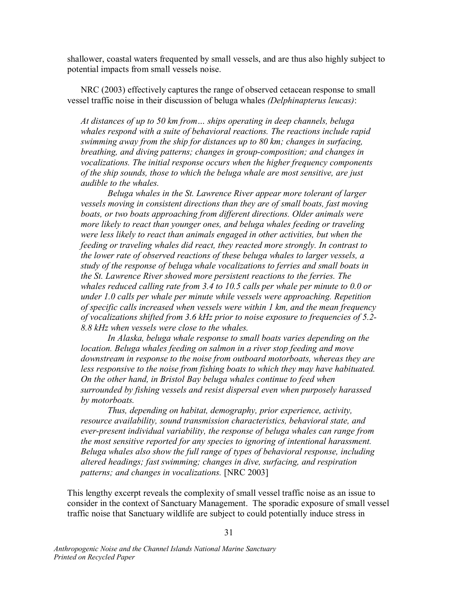shallower, coastal waters frequented by small vessels, and are thus also highly subject to potential impacts from small vessels noise.

 NRC (2003) effectively captures the range of observed cetacean response to small vessel traffic noise in their discussion of beluga whales *(Delphinapterus leucas)*:

*At distances of up to 50 km from… ships operating in deep channels, beluga whales respond with a suite of behavioral reactions. The reactions include rapid swimming away from the ship for distances up to 80 km; changes in surfacing, breathing, and diving patterns; changes in group-composition; and changes in vocalizations. The initial response occurs when the higher frequency components of the ship sounds, those to which the beluga whale are most sensitive, are just audible to the whales.* 

 *Beluga whales in the St. Lawrence River appear more tolerant of larger vessels moving in consistent directions than they are of small boats, fast moving boats, or two boats approaching from different directions. Older animals were more likely to react than younger ones, and beluga whales feeding or traveling were less likely to react than animals engaged in other activities, but when the feeding or traveling whales did react, they reacted more strongly. In contrast to the lower rate of observed reactions of these beluga whales to larger vessels, a study of the response of beluga whale vocalizations to ferries and small boats in the St. Lawrence River showed more persistent reactions to the ferries. The whales reduced calling rate from 3.4 to 10.5 calls per whale per minute to 0.0 or under 1.0 calls per whale per minute while vessels were approaching. Repetition of specific calls increased when vessels were within 1 km, and the mean frequency of vocalizations shifted from 3.6 kHz prior to noise exposure to frequencies of 5.2- 8.8 kHz when vessels were close to the whales.* 

 *In Alaska, beluga whale response to small boats varies depending on the location. Beluga whales feeding on salmon in a river stop feeding and move downstream in response to the noise from outboard motorboats, whereas they are*  less responsive to the noise from fishing boats to which they may have habituated. *On the other hand, in Bristol Bay beluga whales continue to feed when surrounded by fishing vessels and resist dispersal even when purposely harassed by motorboats.* 

 *Thus, depending on habitat, demography, prior experience, activity, resource availability, sound transmission characteristics, behavioral state, and ever-present individual variability, the response of beluga whales can range from the most sensitive reported for any species to ignoring of intentional harassment. Beluga whales also show the full range of types of behavioral response, including altered headings; fast swimming; changes in dive, surfacing, and respiration patterns; and changes in vocalizations.* [NRC 2003]

This lengthy excerpt reveals the complexity of small vessel traffic noise as an issue to consider in the context of Sanctuary Management. The sporadic exposure of small vessel traffic noise that Sanctuary wildlife are subject to could potentially induce stress in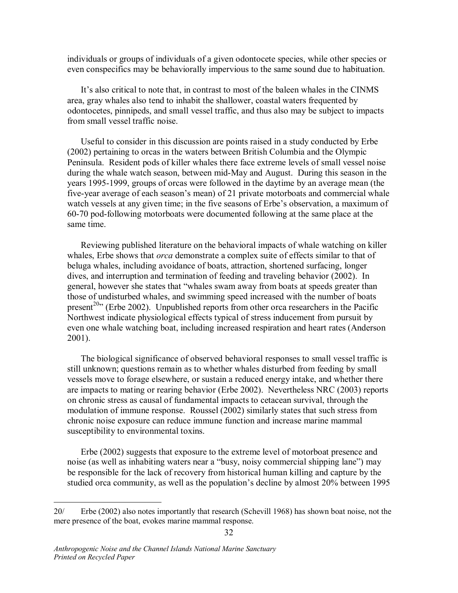individuals or groups of individuals of a given odontocete species, while other species or even conspecifics may be behaviorally impervious to the same sound due to habituation.

 It's also critical to note that, in contrast to most of the baleen whales in the CINMS area, gray whales also tend to inhabit the shallower, coastal waters frequented by odontocetes, pinnipeds, and small vessel traffic, and thus also may be subject to impacts from small vessel traffic noise.

 Useful to consider in this discussion are points raised in a study conducted by Erbe (2002) pertaining to orcas in the waters between British Columbia and the Olympic Peninsula. Resident pods of killer whales there face extreme levels of small vessel noise during the whale watch season, between mid-May and August. During this season in the years 1995-1999, groups of orcas were followed in the daytime by an average mean (the five-year average of each season's mean) of 21 private motorboats and commercial whale watch vessels at any given time; in the five seasons of Erbe's observation, a maximum of 60-70 pod-following motorboats were documented following at the same place at the same time.

 Reviewing published literature on the behavioral impacts of whale watching on killer whales, Erbe shows that *orca* demonstrate a complex suite of effects similar to that of beluga whales, including avoidance of boats, attraction, shortened surfacing, longer dives, and interruption and termination of feeding and traveling behavior (2002). In general, however she states that "whales swam away from boats at speeds greater than those of undisturbed whales, and swimming speed increased with the number of boats present<sup>20</sup><sup>20</sup> (Erbe 2002). Unpublished reports from other orca researchers in the Pacific Northwest indicate physiological effects typical of stress inducement from pursuit by even one whale watching boat, including increased respiration and heart rates (Anderson 2001).

 The biological significance of observed behavioral responses to small vessel traffic is still unknown; questions remain as to whether whales disturbed from feeding by small vessels move to forage elsewhere, or sustain a reduced energy intake, and whether there are impacts to mating or rearing behavior (Erbe 2002). Nevertheless NRC (2003) reports on chronic stress as causal of fundamental impacts to cetacean survival, through the modulation of immune response. Roussel (2002) similarly states that such stress from chronic noise exposure can reduce immune function and increase marine mammal susceptibility to environmental toxins.

 Erbe (2002) suggests that exposure to the extreme level of motorboat presence and noise (as well as inhabiting waters near a "busy, noisy commercial shipping lane") may be responsible for the lack of recovery from historical human killing and capture by the studied orca community, as well as the population's decline by almost 20% between 1995

<sup>20/</sup> Erbe (2002) also notes importantly that research (Schevill 1968) has shown boat noise, not the mere presence of the boat, evokes marine mammal response.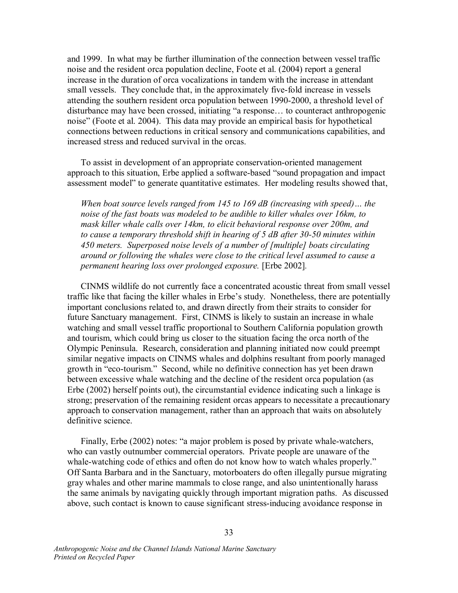and 1999. In what may be further illumination of the connection between vessel traffic noise and the resident orca population decline, Foote et al. (2004) report a general increase in the duration of orca vocalizations in tandem with the increase in attendant small vessels. They conclude that, in the approximately five-fold increase in vessels attending the southern resident orca population between 1990-2000, a threshold level of disturbance may have been crossed, initiating "a response… to counteract anthropogenic noise" (Foote et al. 2004). This data may provide an empirical basis for hypothetical connections between reductions in critical sensory and communications capabilities, and increased stress and reduced survival in the orcas.

 To assist in development of an appropriate conservation-oriented management approach to this situation, Erbe applied a software-based "sound propagation and impact assessment model" to generate quantitative estimates. Her modeling results showed that,

*When boat source levels ranged from 145 to 169 dB (increasing with speed)… the*  noise of the fast boats was modeled to be audible to killer whales over 16km, to *mask killer whale calls over 14km, to elicit behavioral response over 200m, and to cause a temporary threshold shift in hearing of 5 dB after 30-50 minutes within 450 meters. Superposed noise levels of a number of [multiple] boats circulating around or following the whales were close to the critical level assumed to cause a permanent hearing loss over prolonged exposure.* [Erbe 2002]*.*

 CINMS wildlife do not currently face a concentrated acoustic threat from small vessel traffic like that facing the killer whales in Erbe's study. Nonetheless, there are potentially important conclusions related to, and drawn directly from their straits to consider for future Sanctuary management. First, CINMS is likely to sustain an increase in whale watching and small vessel traffic proportional to Southern California population growth and tourism, which could bring us closer to the situation facing the orca north of the Olympic Peninsula. Research, consideration and planning initiated now could preempt similar negative impacts on CINMS whales and dolphins resultant from poorly managed growth in "eco-tourism." Second, while no definitive connection has yet been drawn between excessive whale watching and the decline of the resident orca population (as Erbe (2002) herself points out), the circumstantial evidence indicating such a linkage is strong; preservation of the remaining resident orcas appears to necessitate a precautionary approach to conservation management, rather than an approach that waits on absolutely definitive science.

 Finally, Erbe (2002) notes: "a major problem is posed by private whale-watchers, who can vastly outnumber commercial operators. Private people are unaware of the whale-watching code of ethics and often do not know how to watch whales properly." Off Santa Barbara and in the Sanctuary, motorboaters do often illegally pursue migrating gray whales and other marine mammals to close range, and also unintentionally harass the same animals by navigating quickly through important migration paths. As discussed above, such contact is known to cause significant stress-inducing avoidance response in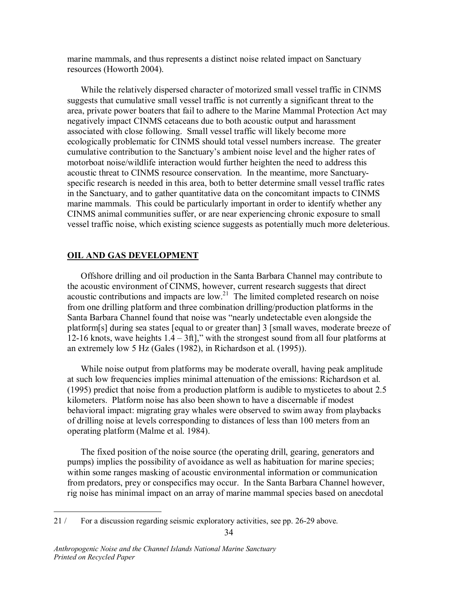marine mammals, and thus represents a distinct noise related impact on Sanctuary resources (Howorth 2004).

 While the relatively dispersed character of motorized small vessel traffic in CINMS suggests that cumulative small vessel traffic is not currently a significant threat to the area, private power boaters that fail to adhere to the Marine Mammal Protection Act may negatively impact CINMS cetaceans due to both acoustic output and harassment associated with close following. Small vessel traffic will likely become more ecologically problematic for CINMS should total vessel numbers increase. The greater cumulative contribution to the Sanctuary's ambient noise level and the higher rates of motorboat noise/wildlife interaction would further heighten the need to address this acoustic threat to CINMS resource conservation. In the meantime, more Sanctuaryspecific research is needed in this area, both to better determine small vessel traffic rates in the Sanctuary, and to gather quantitative data on the concomitant impacts to CINMS marine mammals. This could be particularly important in order to identify whether any CINMS animal communities suffer, or are near experiencing chronic exposure to small vessel traffic noise, which existing science suggests as potentially much more deleterious.

#### **OIL AND GAS DEVELOPMENT**

 Offshore drilling and oil production in the Santa Barbara Channel may contribute to the acoustic environment of CINMS, however, current research suggests that direct acoustic contributions and impacts are low.<sup>21</sup> The limited completed research on noise from one drilling platform and three combination drilling/production platforms in the Santa Barbara Channel found that noise was "nearly undetectable even alongside the platform[s] during sea states [equal to or greater than] 3 [small waves, moderate breeze of 12-16 knots, wave heights  $1.4 - 3$ ft]," with the strongest sound from all four platforms at an extremely low 5 Hz (Gales (1982), in Richardson et al. (1995)).

 While noise output from platforms may be moderate overall, having peak amplitude at such low frequencies implies minimal attenuation of the emissions: Richardson et al. (1995) predict that noise from a production platform is audible to mysticetes to about 2.5 kilometers. Platform noise has also been shown to have a discernable if modest behavioral impact: migrating gray whales were observed to swim away from playbacks of drilling noise at levels corresponding to distances of less than 100 meters from an operating platform (Malme et al. 1984).

 The fixed position of the noise source (the operating drill, gearing, generators and pumps) implies the possibility of avoidance as well as habituation for marine species; within some ranges masking of acoustic environmental information or communication from predators, prey or conspecifics may occur. In the Santa Barbara Channel however, rig noise has minimal impact on an array of marine mammal species based on anecdotal

<sup>21 /</sup> For a discussion regarding seismic exploratory activities, see pp. 26-29 above.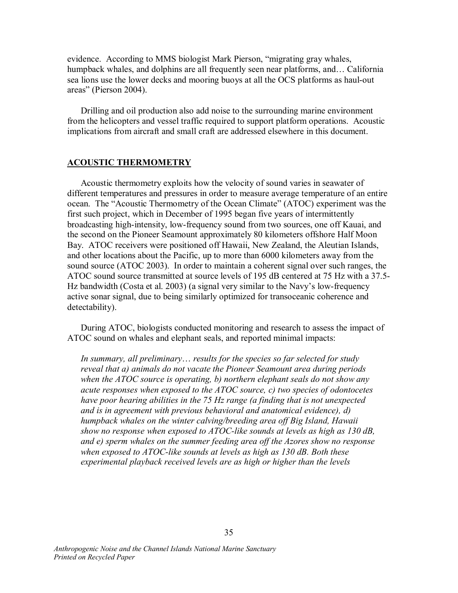evidence. According to MMS biologist Mark Pierson, "migrating gray whales, humpback whales, and dolphins are all frequently seen near platforms, and... California sea lions use the lower decks and mooring buoys at all the OCS platforms as haul-out areas" (Pierson 2004).

 Drilling and oil production also add noise to the surrounding marine environment from the helicopters and vessel traffic required to support platform operations. Acoustic implications from aircraft and small craft are addressed elsewhere in this document.

#### **ACOUSTIC THERMOMETRY**

 Acoustic thermometry exploits how the velocity of sound varies in seawater of different temperatures and pressures in order to measure average temperature of an entire ocean. The "Acoustic Thermometry of the Ocean Climate" (ATOC) experiment was the first such project, which in December of 1995 began five years of intermittently broadcasting high-intensity, low-frequency sound from two sources, one off Kauai, and the second on the Pioneer Seamount approximately 80 kilometers offshore Half Moon Bay. ATOC receivers were positioned off Hawaii, New Zealand, the Aleutian Islands, and other locations about the Pacific, up to more than 6000 kilometers away from the sound source (ATOC 2003). In order to maintain a coherent signal over such ranges, the ATOC sound source transmitted at source levels of 195 dB centered at 75 Hz with a 37.5- Hz bandwidth (Costa et al. 2003) (a signal very similar to the Navy's low-frequency active sonar signal, due to being similarly optimized for transoceanic coherence and detectability).

 During ATOC, biologists conducted monitoring and research to assess the impact of ATOC sound on whales and elephant seals, and reported minimal impacts:

*In summary, all preliminary*… *results for the species so far selected for study reveal that a) animals do not vacate the Pioneer Seamount area during periods when the ATOC source is operating, b) northern elephant seals do not show any acute responses when exposed to the ATOC source, c) two species of odontocetes have poor hearing abilities in the 75 Hz range (a finding that is not unexpected and is in agreement with previous behavioral and anatomical evidence), d) humpback whales on the winter calving/breeding area off Big Island, Hawaii show no response when exposed to ATOC-like sounds at levels as high as 130 dB, and e) sperm whales on the summer feeding area off the Azores show no response when exposed to ATOC-like sounds at levels as high as 130 dB. Both these experimental playback received levels are as high or higher than the levels*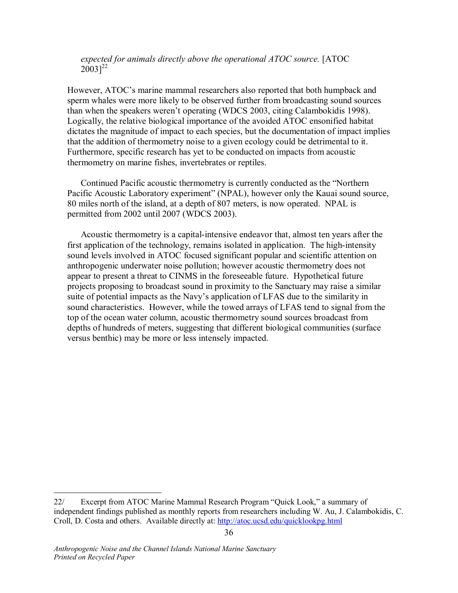*expected for animals directly above the operational ATOC source.* [ATOC  $2003$ <sup>22</sup>

However, ATOC's marine mammal researchers also reported that both humpback and sperm whales were more likely to be observed further from broadcasting sound sources than when the speakers weren't operating (WDCS 2003, citing Calambokidis 1998). Logically, the relative biological importance of the avoided ATOC ensonified habitat dictates the magnitude of impact to each species, but the documentation of impact implies that the addition of thermometry noise to a given ecology could be detrimental to it. Furthermore, specific research has yet to be conducted on impacts from acoustic thermometry on marine fishes, invertebrates or reptiles.

 Continued Pacific acoustic thermometry is currently conducted as the "Northern Pacific Acoustic Laboratory experiment" (NPAL), however only the Kauai sound source, 80 miles north of the island, at a depth of 807 meters, is now operated. NPAL is permitted from 2002 until 2007 (WDCS 2003).

 Acoustic thermometry is a capital-intensive endeavor that, almost ten years after the first application of the technology, remains isolated in application. The high-intensity sound levels involved in ATOC focused significant popular and scientific attention on anthropogenic underwater noise pollution; however acoustic thermometry does not appear to present a threat to CINMS in the foreseeable future. Hypothetical future projects proposing to broadcast sound in proximity to the Sanctuary may raise a similar suite of potential impacts as the Navy's application of LFAS due to the similarity in sound characteristics. However, while the towed arrays of LFAS tend to signal from the top of the ocean water column, acoustic thermometry sound sources broadcast from depths of hundreds of meters, suggesting that different biological communities (surface versus benthic) may be more or less intensely impacted.

1

<sup>22/</sup> Excerpt from ATOC Marine Mammal Research Program "Quick Look," a summary of independent findings published as monthly reports from researchers including W. Au, J. Calambokidis, C. Croll, D. Costa and others. Available directly at: http://atoc.ucsd.edu/quicklookpg.html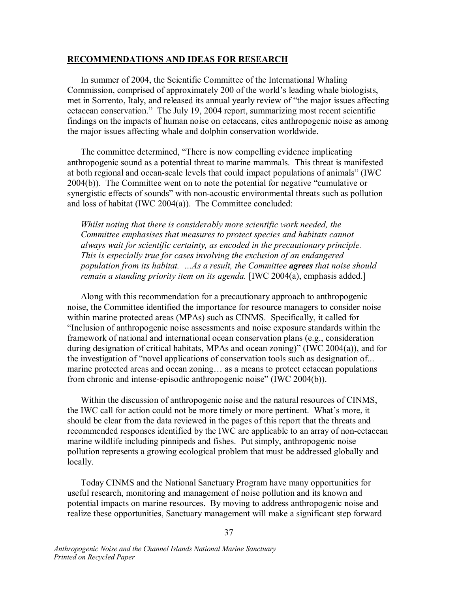#### **RECOMMENDATIONS AND IDEAS FOR RESEARCH**

 In summer of 2004, the Scientific Committee of the International Whaling Commission, comprised of approximately 200 of the world's leading whale biologists, met in Sorrento, Italy, and released its annual yearly review of "the major issues affecting cetacean conservation." The July 19, 2004 report, summarizing most recent scientific findings on the impacts of human noise on cetaceans, cites anthropogenic noise as among the major issues affecting whale and dolphin conservation worldwide.

 The committee determined, "There is now compelling evidence implicating anthropogenic sound as a potential threat to marine mammals. This threat is manifested at both regional and ocean-scale levels that could impact populations of animals" (IWC 2004(b)). The Committee went on to note the potential for negative "cumulative or synergistic effects of sounds" with non-acoustic environmental threats such as pollution and loss of habitat (IWC 2004(a)). The Committee concluded:

*Whilst noting that there is considerably more scientific work needed, the Committee emphasises that measures to protect species and habitats cannot always wait for scientific certainty, as encoded in the precautionary principle. This is especially true for cases involving the exclusion of an endangered population from its habitat. …As a result, the Committee agrees that noise should remain a standing priority item on its agenda.* [IWC 2004(a), emphasis added.]

 Along with this recommendation for a precautionary approach to anthropogenic noise, the Committee identified the importance for resource managers to consider noise within marine protected areas (MPAs) such as CINMS. Specifically, it called for "Inclusion of anthropogenic noise assessments and noise exposure standards within the framework of national and international ocean conservation plans (e.g., consideration during designation of critical habitats, MPAs and ocean zoning)" (IWC 2004(a)), and for the investigation of "novel applications of conservation tools such as designation of... marine protected areas and ocean zoning… as a means to protect cetacean populations from chronic and intense-episodic anthropogenic noise" (IWC 2004(b)).

Within the discussion of anthropogenic noise and the natural resources of CINMS, the IWC call for action could not be more timely or more pertinent. What's more, it should be clear from the data reviewed in the pages of this report that the threats and recommended responses identified by the IWC are applicable to an array of non-cetacean marine wildlife including pinnipeds and fishes. Put simply, anthropogenic noise pollution represents a growing ecological problem that must be addressed globally and locally.

 Today CINMS and the National Sanctuary Program have many opportunities for useful research, monitoring and management of noise pollution and its known and potential impacts on marine resources. By moving to address anthropogenic noise and realize these opportunities, Sanctuary management will make a significant step forward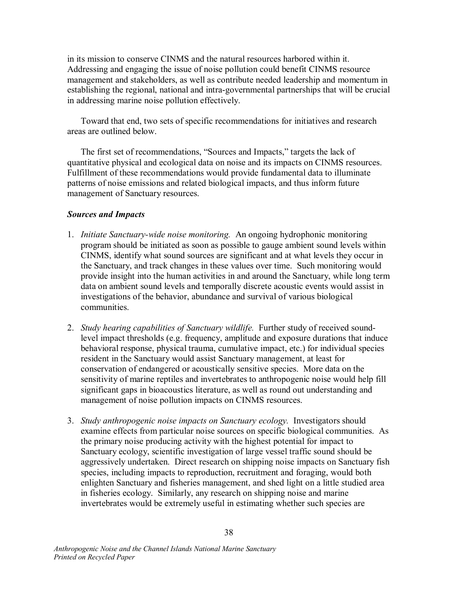in its mission to conserve CINMS and the natural resources harbored within it. Addressing and engaging the issue of noise pollution could benefit CINMS resource management and stakeholders, as well as contribute needed leadership and momentum in establishing the regional, national and intra-governmental partnerships that will be crucial in addressing marine noise pollution effectively.

 Toward that end, two sets of specific recommendations for initiatives and research areas are outlined below.

 The first set of recommendations, "Sources and Impacts," targets the lack of quantitative physical and ecological data on noise and its impacts on CINMS resources. Fulfillment of these recommendations would provide fundamental data to illuminate patterns of noise emissions and related biological impacts, and thus inform future management of Sanctuary resources.

### *Sources and Impacts*

- 1. *Initiate Sanctuary-wide noise monitoring.* An ongoing hydrophonic monitoring program should be initiated as soon as possible to gauge ambient sound levels within CINMS, identify what sound sources are significant and at what levels they occur in the Sanctuary, and track changes in these values over time. Such monitoring would provide insight into the human activities in and around the Sanctuary, while long term data on ambient sound levels and temporally discrete acoustic events would assist in investigations of the behavior, abundance and survival of various biological communities.
- 2. *Study hearing capabilities of Sanctuary wildlife.* Further study of received soundlevel impact thresholds (e.g. frequency, amplitude and exposure durations that induce behavioral response, physical trauma, cumulative impact, etc.) for individual species resident in the Sanctuary would assist Sanctuary management, at least for conservation of endangered or acoustically sensitive species. More data on the sensitivity of marine reptiles and invertebrates to anthropogenic noise would help fill significant gaps in bioacoustics literature, as well as round out understanding and management of noise pollution impacts on CINMS resources.
- 3. *Study anthropogenic noise impacts on Sanctuary ecology.* Investigators should examine effects from particular noise sources on specific biological communities. As the primary noise producing activity with the highest potential for impact to Sanctuary ecology, scientific investigation of large vessel traffic sound should be aggressively undertaken. Direct research on shipping noise impacts on Sanctuary fish species, including impacts to reproduction, recruitment and foraging, would both enlighten Sanctuary and fisheries management, and shed light on a little studied area in fisheries ecology. Similarly, any research on shipping noise and marine invertebrates would be extremely useful in estimating whether such species are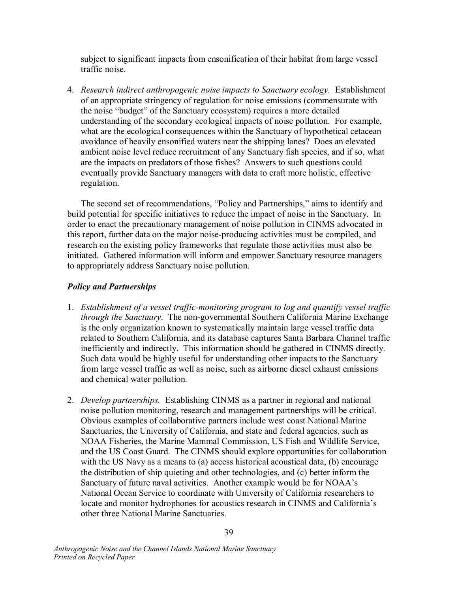subject to significant impacts from ensonification of their habitat from large vessel traffic noise.

4. *Research indirect anthropogenic noise impacts to Sanctuary ecology.* Establishment of an appropriate stringency of regulation for noise emissions (commensurate with the noise "budget" of the Sanctuary ecosystem) requires a more detailed understanding of the secondary ecological impacts of noise pollution. For example, what are the ecological consequences within the Sanctuary of hypothetical cetacean avoidance of heavily ensonified waters near the shipping lanes? Does an elevated ambient noise level reduce recruitment of any Sanctuary fish species, and if so, what are the impacts on predators of those fishes? Answers to such questions could eventually provide Sanctuary managers with data to craft more holistic, effective regulation.

 The second set of recommendations, "Policy and Partnerships," aims to identify and build potential for specific initiatives to reduce the impact of noise in the Sanctuary. In order to enact the precautionary management of noise pollution in CINMS advocated in this report, further data on the major noise-producing activities must be compiled, and research on the existing policy frameworks that regulate those activities must also be initiated. Gathered information will inform and empower Sanctuary resource managers to appropriately address Sanctuary noise pollution.

# *Policy and Partnerships*

- 1. *Establishment of a vessel traffic-monitoring program to log and quantify vessel traffic through the Sanctuary*. The non-governmental Southern California Marine Exchange is the only organization known to systematically maintain large vessel traffic data related to Southern California, and its database captures Santa Barbara Channel traffic inefficiently and indirectly. This information should be gathered in CINMS directly. Such data would be highly useful for understanding other impacts to the Sanctuary from large vessel traffic as well as noise, such as airborne diesel exhaust emissions and chemical water pollution.
- 2. *Develop partnerships.* Establishing CINMS as a partner in regional and national noise pollution monitoring, research and management partnerships will be critical. Obvious examples of collaborative partners include west coast National Marine Sanctuaries, the University of California, and state and federal agencies, such as NOAA Fisheries, the Marine Mammal Commission, US Fish and Wildlife Service, and the US Coast Guard. The CINMS should explore opportunities for collaboration with the US Navy as a means to (a) access historical acoustical data, (b) encourage the distribution of ship quieting and other technologies, and (c) better inform the Sanctuary of future naval activities. Another example would be for NOAA's National Ocean Service to coordinate with University of California researchers to locate and monitor hydrophones for acoustics research in CINMS and California's other three National Marine Sanctuaries.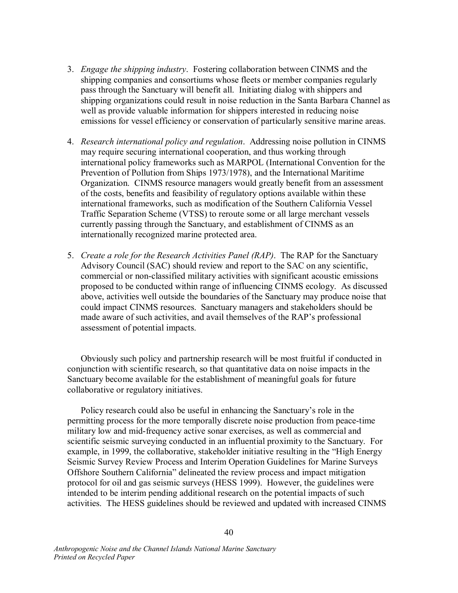- 3. *Engage the shipping industry*. Fostering collaboration between CINMS and the shipping companies and consortiums whose fleets or member companies regularly pass through the Sanctuary will benefit all. Initiating dialog with shippers and shipping organizations could result in noise reduction in the Santa Barbara Channel as well as provide valuable information for shippers interested in reducing noise emissions for vessel efficiency or conservation of particularly sensitive marine areas.
- 4. *Research international policy and regulation*. Addressing noise pollution in CINMS may require securing international cooperation, and thus working through international policy frameworks such as MARPOL (International Convention for the Prevention of Pollution from Ships 1973/1978), and the International Maritime Organization. CINMS resource managers would greatly benefit from an assessment of the costs, benefits and feasibility of regulatory options available within these international frameworks, such as modification of the Southern California Vessel Traffic Separation Scheme (VTSS) to reroute some or all large merchant vessels currently passing through the Sanctuary, and establishment of CINMS as an internationally recognized marine protected area.
- 5. *Create a role for the Research Activities Panel (RAP)*. The RAP for the Sanctuary Advisory Council (SAC) should review and report to the SAC on any scientific, commercial or non-classified military activities with significant acoustic emissions proposed to be conducted within range of influencing CINMS ecology. As discussed above, activities well outside the boundaries of the Sanctuary may produce noise that could impact CINMS resources. Sanctuary managers and stakeholders should be made aware of such activities, and avail themselves of the RAP's professional assessment of potential impacts.

 Obviously such policy and partnership research will be most fruitful if conducted in conjunction with scientific research, so that quantitative data on noise impacts in the Sanctuary become available for the establishment of meaningful goals for future collaborative or regulatory initiatives.

 Policy research could also be useful in enhancing the Sanctuary's role in the permitting process for the more temporally discrete noise production from peace-time military low and mid-frequency active sonar exercises, as well as commercial and scientific seismic surveying conducted in an influential proximity to the Sanctuary. For example, in 1999, the collaborative, stakeholder initiative resulting in the "High Energy Seismic Survey Review Process and Interim Operation Guidelines for Marine Surveys Offshore Southern California" delineated the review process and impact mitigation protocol for oil and gas seismic surveys (HESS 1999). However, the guidelines were intended to be interim pending additional research on the potential impacts of such activities. The HESS guidelines should be reviewed and updated with increased CINMS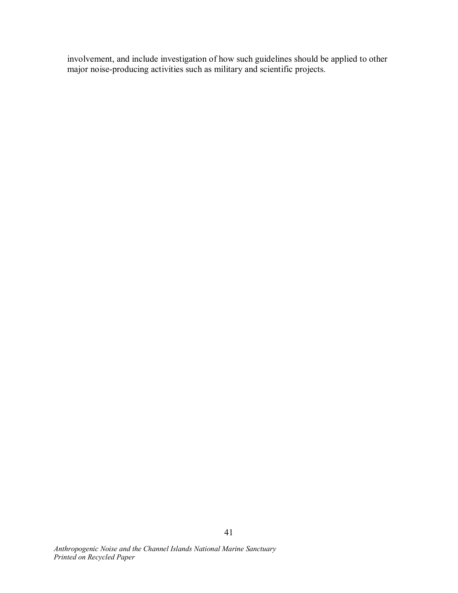involvement, and include investigation of how such guidelines should be applied to other major noise-producing activities such as military and scientific projects.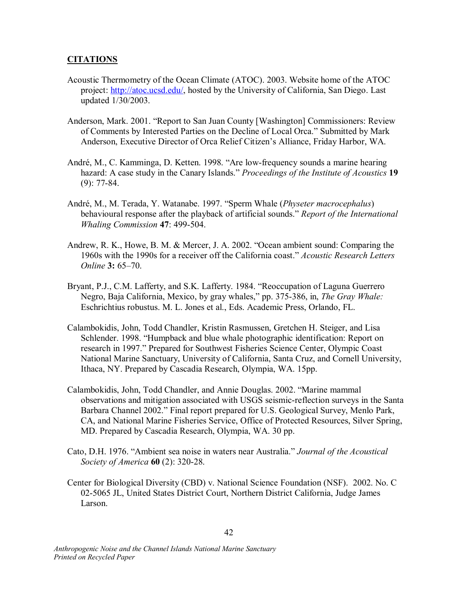# **CITATIONS**

- Acoustic Thermometry of the Ocean Climate (ATOC). 2003. Website home of the ATOC project: http://atoc.ucsd.edu/, hosted by the University of California, San Diego. Last updated 1/30/2003.
- Anderson, Mark. 2001. "Report to San Juan County [Washington] Commissioners: Review of Comments by Interested Parties on the Decline of Local Orca." Submitted by Mark Anderson, Executive Director of Orca Relief Citizen's Alliance, Friday Harbor, WA.
- André, M., C. Kamminga, D. Ketten. 1998. "Are low-frequency sounds a marine hearing hazard: A case study in the Canary Islands." *Proceedings of the Institute of Acoustics* **19**  (9): 77-84.
- André, M., M. Terada, Y. Watanabe. 1997. "Sperm Whale (*Physeter macrocephalus*) behavioural response after the playback of artificial sounds." *Report of the International Whaling Commission* **47**: 499-504.
- Andrew, R. K., Howe, B. M. & Mercer, J. A. 2002. "Ocean ambient sound: Comparing the 1960s with the 1990s for a receiver off the California coast." *Acoustic Research Letters Online* **3:** 65–70.
- Bryant, P.J., C.M. Lafferty, and S.K. Lafferty. 1984. "Reoccupation of Laguna Guerrero Negro, Baja California, Mexico, by gray whales," pp. 375-386, in, *The Gray Whale:*  Eschrichtius robustus. M. L. Jones et al., Eds. Academic Press, Orlando, FL.
- Calambokidis, John, Todd Chandler, Kristin Rasmussen, Gretchen H. Steiger, and Lisa Schlender. 1998. "Humpback and blue whale photographic identification: Report on research in 1997." Prepared for Southwest Fisheries Science Center, Olympic Coast National Marine Sanctuary, University of California, Santa Cruz, and Cornell University, Ithaca, NY. Prepared by Cascadia Research, Olympia, WA. 15pp.
- Calambokidis, John, Todd Chandler, and Annie Douglas. 2002. "Marine mammal observations and mitigation associated with USGS seismic-reflection surveys in the Santa Barbara Channel 2002." Final report prepared for U.S. Geological Survey, Menlo Park, CA, and National Marine Fisheries Service, Office of Protected Resources, Silver Spring, MD. Prepared by Cascadia Research, Olympia, WA. 30 pp.
- Cato, D.H. 1976. "Ambient sea noise in waters near Australia." *Journal of the Acoustical Society of America* **60** (2): 320-28.
- Center for Biological Diversity (CBD) v. National Science Foundation (NSF). 2002. No. C 02-5065 JL, United States District Court, Northern District California, Judge James Larson.

*Anthropogenic Noise and the Channel Islands National Marine Sanctuary Printed on Recycled Paper*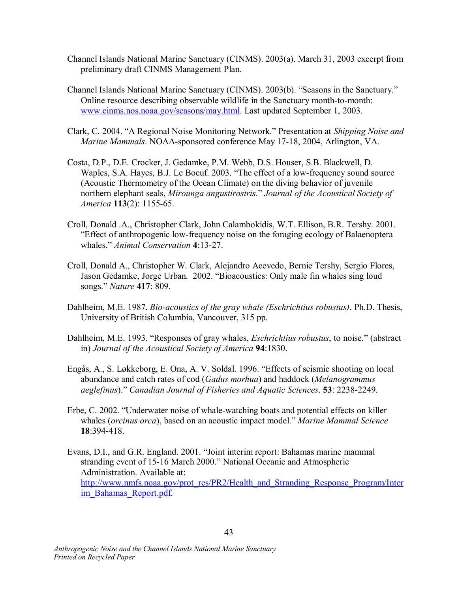- Channel Islands National Marine Sanctuary (CINMS). 2003(a). March 31, 2003 excerpt from preliminary draft CINMS Management Plan.
- Channel Islands National Marine Sanctuary (CINMS). 2003(b). "Seasons in the Sanctuary." Online resource describing observable wildlife in the Sanctuary month-to-month: www.cinms.nos.noaa.gov/seasons/may.html. Last updated September 1, 2003.
- Clark, C. 2004. "A Regional Noise Monitoring Network." Presentation at *Shipping Noise and Marine Mammals*. NOAA-sponsored conference May 17-18, 2004, Arlington, VA.
- Costa, D.P., D.E. Crocker, J. Gedamke, P.M. Webb, D.S. Houser, S.B. Blackwell, D. Waples, S.A. Hayes, B.J. Le Boeuf. 2003. "The effect of a low-frequency sound source (Acoustic Thermometry of the Ocean Climate) on the diving behavior of juvenile northern elephant seals, *Mirounga angustirostris.*" *Journal of the Acoustical Society of America* **113**(2): 1155-65.
- Croll, Donald .A., Christopher Clark, John Calambokidis, W.T. Ellison, B.R. Tershy. 2001. "Effect of anthropogenic low-frequency noise on the foraging ecology of Balaenoptera whales." *Animal Conservation* **4**:13-27.
- Croll, Donald A., Christopher W. Clark, Alejandro Acevedo, Bernie Tershy, Sergio Flores, Jason Gedamke, Jorge Urban. 2002. "Bioacoustics: Only male fin whales sing loud songs." *Nature* **417**: 809.
- Dahlheim, M.E. 1987. *Bio-acoustics of the gray whale (Eschrichtius robustus)*. Ph.D. Thesis, University of British Columbia, Vancouver, 315 pp.
- Dahlheim, M.E. 1993. "Responses of gray whales, *Eschrichtius robustus*, to noise." (abstract in) *Journal of the Acoustical Society of America* **94**:1830.
- Engås, A., S. Løkkeborg, E. Ona, A. V. Soldal. 1996. "Effects of seismic shooting on local abundance and catch rates of cod (*Gadus morhua*) and haddock (*Melanogrammus aeglefinus*)." *Canadian Journal of Fisheries and Aquatic Sciences*. **53**: 2238-2249.
- Erbe, C. 2002. "Underwater noise of whale-watching boats and potential effects on killer whales (*orcinus orca*), based on an acoustic impact model." *Marine Mammal Science* **18**:394-418.
- Evans, D.I., and G.R. England. 2001. "Joint interim report: Bahamas marine mammal stranding event of 15-16 March 2000." National Oceanic and Atmospheric Administration. Available at: http://www.nmfs.noaa.gov/prot\_res/PR2/Health\_and\_Stranding\_Response\_Program/Inter im\_Bahamas\_Report.pdf.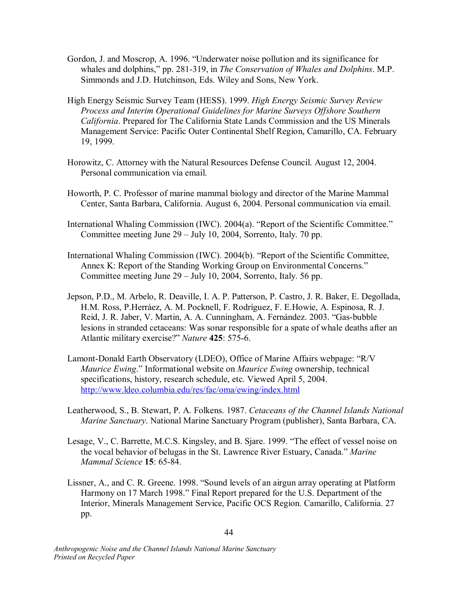- Gordon, J. and Moscrop, A. 1996. "Underwater noise pollution and its significance for whales and dolphins," pp. 281-319, in *The Conservation of Whales and Dolphins*. M.P. Simmonds and J.D. Hutchinson, Eds. Wiley and Sons, New York.
- High Energy Seismic Survey Team (HESS). 1999. *High Energy Seismic Survey Review Process and Interim Operational Guidelines for Marine Surveys Offshore Southern California*. Prepared for The California State Lands Commission and the US Minerals Management Service: Pacific Outer Continental Shelf Region, Camarillo, CA. February 19, 1999.
- Horowitz, C. Attorney with the Natural Resources Defense Council. August 12, 2004. Personal communication via email.
- Howorth, P. C. Professor of marine mammal biology and director of the Marine Mammal Center, Santa Barbara, California. August 6, 2004. Personal communication via email.
- International Whaling Commission (IWC). 2004(a). "Report of the Scientific Committee." Committee meeting June 29 – July 10, 2004, Sorrento, Italy. 70 pp.
- International Whaling Commission (IWC). 2004(b). "Report of the Scientific Committee, Annex K: Report of the Standing Working Group on Environmental Concerns." Committee meeting June 29 – July 10, 2004, Sorrento, Italy. 56 pp.
- Jepson, P.D., M. Arbelo, R. Deaville, I. A. P. Patterson, P. Castro, J. R. Baker, E. Degollada, H.M. Ross, P.Herráez, A. M. Pocknell, F. Rodríguez, F. E.Howie, A. Espinosa, R. J. Reid, J. R. Jaber, V. Martin, A. A. Cunningham, A. Fernández. 2003. "Gas-bubble lesions in stranded cetaceans: Was sonar responsible for a spate of whale deaths after an Atlantic military exercise?" *Nature* **425**: 575-6.
- Lamont-Donald Earth Observatory (LDEO), Office of Marine Affairs webpage: "R/V *Maurice Ewing*." Informational website on *Maurice Ewing* ownership, technical specifications, history, research schedule, etc. Viewed April 5, 2004. http://www.ldeo.columbia.edu/res/fac/oma/ewing/index.html
- Leatherwood, S., B. Stewart, P. A. Folkens. 1987. *Cetaceans of the Channel Islands National Marine Sanctuary*. National Marine Sanctuary Program (publisher), Santa Barbara, CA.
- Lesage, V., C. Barrette, M.C.S. Kingsley, and B. Sjare. 1999. "The effect of vessel noise on the vocal behavior of belugas in the St. Lawrence River Estuary, Canada." *Marine Mammal Science* **15**: 65-84.
- Lissner, A., and C. R. Greene. 1998. "Sound levels of an airgun array operating at Platform Harmony on 17 March 1998." Final Report prepared for the U.S. Department of the Interior, Minerals Management Service, Pacific OCS Region. Camarillo, California. 27 pp.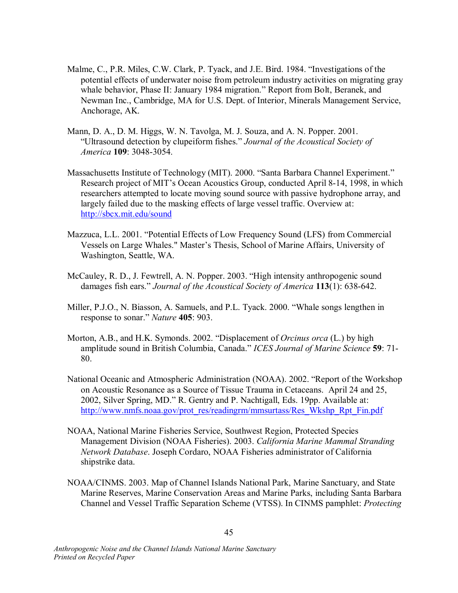- Malme, C., P.R. Miles, C.W. Clark, P. Tyack, and J.E. Bird. 1984. "Investigations of the potential effects of underwater noise from petroleum industry activities on migrating gray whale behavior, Phase II: January 1984 migration." Report from Bolt, Beranek, and Newman Inc., Cambridge, MA for U.S. Dept. of Interior, Minerals Management Service, Anchorage, AK.
- Mann, D. A., D. M. Higgs, W. N. Tavolga, M. J. Souza, and A. N. Popper. 2001. "Ultrasound detection by clupeiform fishes." *Journal of the Acoustical Society of America* **109**: 3048-3054.
- Massachusetts Institute of Technology (MIT). 2000. "Santa Barbara Channel Experiment." Research project of MIT's Ocean Acoustics Group, conducted April 8-14, 1998, in which researchers attempted to locate moving sound source with passive hydrophone array, and largely failed due to the masking effects of large vessel traffic. Overview at: http://sbcx.mit.edu/sound
- Mazzuca, L.L. 2001. "Potential Effects of Low Frequency Sound (LFS) from Commercial Vessels on Large Whales." Master's Thesis, School of Marine Affairs, University of Washington, Seattle, WA.
- McCauley, R. D., J. Fewtrell, A. N. Popper. 2003. "High intensity anthropogenic sound damages fish ears." *Journal of the Acoustical Society of America* **113**(1): 638-642.
- Miller, P.J.O., N. Biasson, A. Samuels, and P.L. Tyack. 2000. "Whale songs lengthen in response to sonar." *Nature* **405**: 903.
- Morton, A.B., and H.K. Symonds. 2002. "Displacement of *Orcinus orca* (L.) by high amplitude sound in British Columbia, Canada." *ICES Journal of Marine Science* **59**: 71- 80.
- National Oceanic and Atmospheric Administration (NOAA). 2002. "Report of the Workshop on Acoustic Resonance as a Source of Tissue Trauma in Cetaceans. April 24 and 25, 2002, Silver Spring, MD." R. Gentry and P. Nachtigall, Eds. 19pp. Available at: http://www.nmfs.noaa.gov/prot\_res/readingrm/mmsurtass/Res\_Wkshp\_Rpt\_Fin.pdf
- NOAA, National Marine Fisheries Service, Southwest Region, Protected Species Management Division (NOAA Fisheries). 2003. *California Marine Mammal Stranding Network Database*. Joseph Cordaro, NOAA Fisheries administrator of California shipstrike data.
- NOAA/CINMS. 2003. Map of Channel Islands National Park, Marine Sanctuary, and State Marine Reserves, Marine Conservation Areas and Marine Parks, including Santa Barbara Channel and Vessel Traffic Separation Scheme (VTSS). In CINMS pamphlet: *Protecting*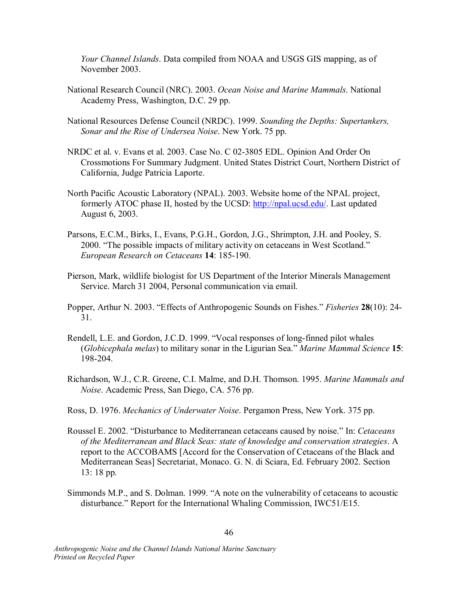*Your Channel Islands*. Data compiled from NOAA and USGS GIS mapping, as of November 2003.

- National Research Council (NRC). 2003. *Ocean Noise and Marine Mammals*. National Academy Press, Washington, D.C. 29 pp.
- National Resources Defense Council (NRDC). 1999. *Sounding the Depths: Supertankers, Sonar and the Rise of Undersea Noise*. New York. 75 pp.
- NRDC et al. v. Evans et al. 2003. Case No. C 02-3805 EDL. Opinion And Order On Crossmotions For Summary Judgment. United States District Court, Northern District of California, Judge Patricia Laporte.
- North Pacific Acoustic Laboratory (NPAL). 2003. Website home of the NPAL project, formerly ATOC phase II, hosted by the UCSD: http://npal.ucsd.edu/. Last updated August 6, 2003.
- Parsons, E.C.M., Birks, I., Evans, P.G.H., Gordon, J.G., Shrimpton, J.H. and Pooley, S. 2000. "The possible impacts of military activity on cetaceans in West Scotland." *European Research on Cetaceans* **14**: 185-190.
- Pierson, Mark, wildlife biologist for US Department of the Interior Minerals Management Service. March 31 2004, Personal communication via email.
- Popper, Arthur N. 2003. "Effects of Anthropogenic Sounds on Fishes." *Fisheries* **28**(10): 24- 31.
- Rendell, L.E. and Gordon, J.C.D. 1999. "Vocal responses of long-finned pilot whales (*Globicephala melas*) to military sonar in the Ligurian Sea." *Marine Mammal Science* **15**: 198-204.
- Richardson, W.J., C.R. Greene, C.I. Malme, and D.H. Thomson. 1995. *Marine Mammals and Noise*. Academic Press, San Diego, CA. 576 pp.
- Ross, D. 1976. *Mechanics of Underwater Noise*. Pergamon Press, New York. 375 pp.
- Roussel E. 2002. "Disturbance to Mediterranean cetaceans caused by noise." In: *Cetaceans of the Mediterranean and Black Seas: state of knowledge and conservation strategies*. A report to the ACCOBAMS [Accord for the Conservation of Cetaceans of the Black and Mediterranean Seas] Secretariat, Monaco. G. N. di Sciara, Ed. February 2002. Section 13: 18 pp.
- Simmonds M.P., and S. Dolman. 1999. "A note on the vulnerability of cetaceans to acoustic disturbance." Report for the International Whaling Commission, IWC51/E15.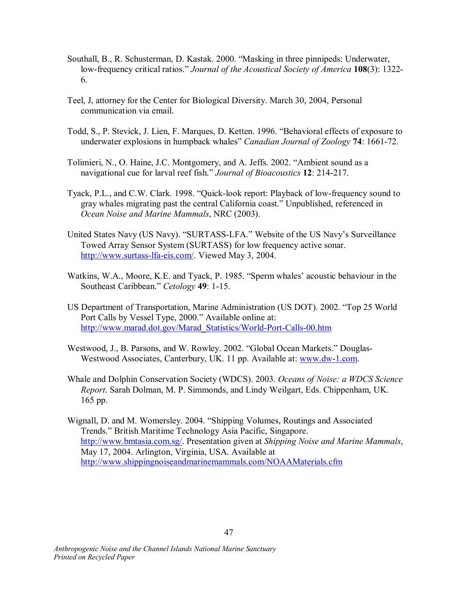- Southall, B., R. Schusterman, D. Kastak. 2000. "Masking in three pinnipeds: Underwater, low-frequency critical ratios." *Journal of the Acoustical Society of America* **108**(3): 1322- 6.
- Teel, J, attorney for the Center for Biological Diversity. March 30, 2004, Personal communication via email.
- Todd, S., P. Stevick, J. Lien, F. Marques, D. Ketten. 1996. "Behavioral effects of exposure to underwater explosions in humpback whales" *Canadian Journal of Zoology* **74**: 1661-72.
- Tolimieri, N., O. Haine, J.C. Montgomery, and A. Jeffs. 2002. "Ambient sound as a navigational cue for larval reef fish." *Journal of Bioacoustics* **12**: 214-217.
- Tyack, P.L., and C.W. Clark. 1998. "Quick-look report: Playback of low-frequency sound to gray whales migrating past the central California coast." Unpublished, referenced in *Ocean Noise and Marine Mammals*, NRC (2003).
- United States Navy (US Navy). "SURTASS-LFA." Website of the US Navy's Surveillance Towed Array Sensor System (SURTASS) for low frequency active sonar. http://www.surtass-lfa-eis.com/. Viewed May 3, 2004.
- Watkins, W.A., Moore, K.E. and Tyack, P. 1985. "Sperm whales' acoustic behaviour in the Southeast Caribbean." *Cetology* **49**: 1-15.
- US Department of Transportation, Marine Administration (US DOT). 2002. "Top 25 World Port Calls by Vessel Type, 2000." Available online at: http://www.marad.dot.gov/Marad\_Statistics/World-Port-Calls-00.htm
- Westwood, J., B. Parsons, and W. Rowley. 2002. "Global Ocean Markets." Douglas-Westwood Associates, Canterbury, UK. 11 pp. Available at: www.dw-1.com.
- Whale and Dolphin Conservation Society (WDCS). 2003. *Oceans of Noise: a WDCS Science Report*. Sarah Dolman, M. P. Simmonds, and Lindy Weilgart, Eds. Chippenham, UK. 165 pp.
- Wignall, D. and M. Womersley. 2004. "Shipping Volumes, Routings and Associated Trends." British Maritime Technology Asia Pacific, Singapore. http://www.bmtasia.com.sg/. Presentation given at *Shipping Noise and Marine Mammals*, May 17, 2004. Arlington, Virginia, USA. Available at http://www.shippingnoiseandmarinemammals.com/NOAAMaterials.cfm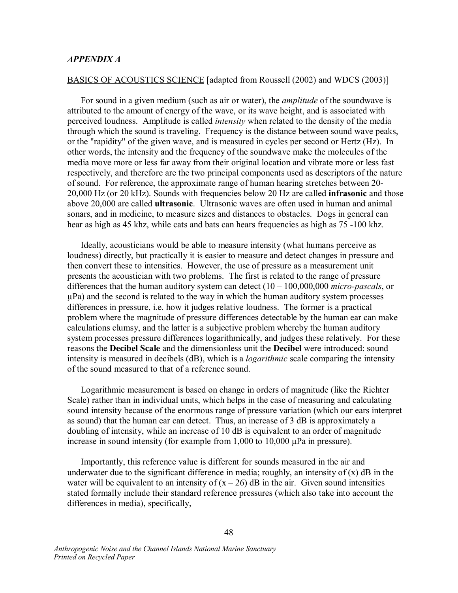#### *APPENDIX A*

#### BASICS OF ACOUSTICS SCIENCE [adapted from Roussell (2002) and WDCS (2003)]

 For sound in a given medium (such as air or water), the *amplitude* of the soundwave is attributed to the amount of energy of the wave, or its wave height, and is associated with perceived loudness. Amplitude is called *intensity* when related to the density of the media through which the sound is traveling. Frequency is the distance between sound wave peaks, or the "rapidity" of the given wave, and is measured in cycles per second or Hertz (Hz). In other words, the intensity and the frequency of the soundwave make the molecules of the media move more or less far away from their original location and vibrate more or less fast respectively, and therefore are the two principal components used as descriptors of the nature of sound. For reference, the approximate range of human hearing stretches between 20- 20,000 Hz (or 20 kHz). Sounds with frequencies below 20 Hz are called **infrasonic** and those above 20,000 are called **ultrasonic**. Ultrasonic waves are often used in human and animal sonars, and in medicine, to measure sizes and distances to obstacles. Dogs in general can hear as high as 45 khz, while cats and bats can hears frequencies as high as 75 -100 khz.

 Ideally, acousticians would be able to measure intensity (what humans perceive as loudness) directly, but practically it is easier to measure and detect changes in pressure and then convert these to intensities. However, the use of pressure as a measurement unit presents the acoustician with two problems. The first is related to the range of pressure differences that the human auditory system can detect (10 – 100,000,000 *micro-pascals*, or  $\mu$ Pa) and the second is related to the way in which the human auditory system processes differences in pressure, i.e. how it judges relative loudness. The former is a practical problem where the magnitude of pressure differences detectable by the human ear can make calculations clumsy, and the latter is a subjective problem whereby the human auditory system processes pressure differences logarithmically, and judges these relatively. For these reasons the **Decibel Scale** and the dimensionless unit the **Decibel** were introduced: sound intensity is measured in decibels (dB), which is a *logarithmic* scale comparing the intensity of the sound measured to that of a reference sound.

 Logarithmic measurement is based on change in orders of magnitude (like the Richter Scale) rather than in individual units, which helps in the case of measuring and calculating sound intensity because of the enormous range of pressure variation (which our ears interpret as sound) that the human ear can detect. Thus, an increase of 3 dB is approximately a doubling of intensity, while an increase of 10 dB is equivalent to an order of magnitude increase in sound intensity (for example from 1,000 to 10,000  $\mu$ Pa in pressure).

 Importantly, this reference value is different for sounds measured in the air and underwater due to the significant difference in media; roughly, an intensity of  $(x)$  dB in the water will be equivalent to an intensity of  $(x - 26)$  dB in the air. Given sound intensities stated formally include their standard reference pressures (which also take into account the differences in media), specifically,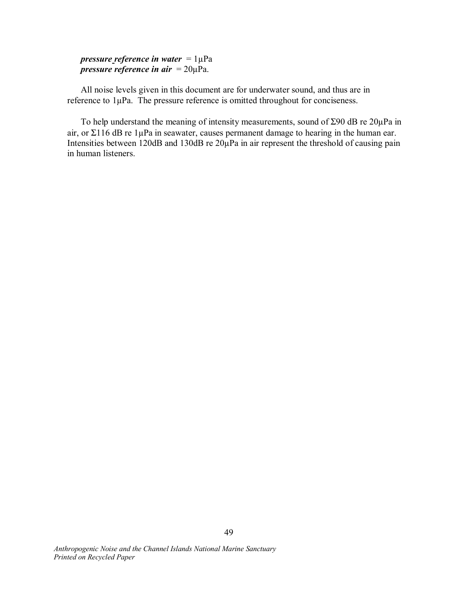# *pressure reference in water* = 1µPa *pressure reference in air* = 20µPa.

 All noise levels given in this document are for underwater sound, and thus are in reference to 1µPa. The pressure reference is omitted throughout for conciseness.

 To help understand the meaning of intensity measurements, sound of Σ90 dB re 20µPa in air, or Σ116 dB re 1µPa in seawater, causes permanent damage to hearing in the human ear. Intensities between 120dB and 130dB re  $20\mu$ Pa in air represent the threshold of causing pain in human listeners.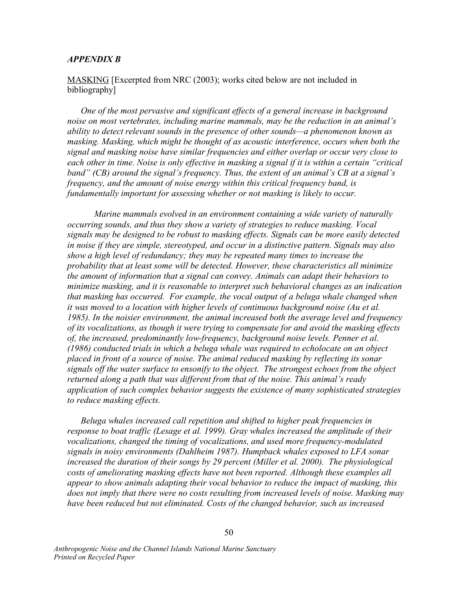#### *APPENDIX B*

#### MASKING [Excerpted from NRC (2003); works cited below are not included in bibliography]

*One of the most pervasive and significant effects of a general increase in background noise on most vertebrates, including marine mammals, may be the reduction in an animal's ability to detect relevant sounds in the presence of other sounds—a phenomenon known as masking. Masking, which might be thought of as acoustic interference, occurs when both the signal and masking noise have similar frequencies and either overlap or occur very close to each other in time. Noise is only effective in masking a signal if it is within a certain "critical band" (CB) around the signal's frequency. Thus, the extent of an animal's CB at a signal's frequency, and the amount of noise energy within this critical frequency band, is fundamentally important for assessing whether or not masking is likely to occur.* 

*Marine mammals evolved in an environment containing a wide variety of naturally occurring sounds, and thus they show a variety of strategies to reduce masking. Vocal signals may be designed to be robust to masking effects. Signals can be more easily detected in noise if they are simple, stereotyped, and occur in a distinctive pattern. Signals may also show a high level of redundancy; they may be repeated many times to increase the probability that at least some will be detected. However, these characteristics all minimize the amount of information that a signal can convey. Animals can adapt their behaviors to minimize masking, and it is reasonable to interpret such behavioral changes as an indication that masking has occurred. For example, the vocal output of a beluga whale changed when it was moved to a location with higher levels of continuous background noise (Au et al. 1985). In the noisier environment, the animal increased both the average level and frequency of its vocalizations, as though it were trying to compensate for and avoid the masking effects of, the increased, predominantly low-frequency, background noise levels. Penner et al. (1986) conducted trials in which a beluga whale was required to echolocate on an object placed in front of a source of noise. The animal reduced masking by reflecting its sonar signals off the water surface to ensonify to the object. The strongest echoes from the object returned along a path that was different from that of the noise. This animal's ready application of such complex behavior suggests the existence of many sophisticated strategies to reduce masking effects.* 

 *Beluga whales increased call repetition and shifted to higher peak frequencies in response to boat traffic (Lesage et al. 1999). Gray whales increased the amplitude of their vocalizations, changed the timing of vocalizations, and used more frequency-modulated signals in noisy environments (Dahlheim 1987). Humpback whales exposed to LFA sonar increased the duration of their songs by 29 percent (Miller et al. 2000). The physiological costs of ameliorating masking effects have not been reported. Although these examples all appear to show animals adapting their vocal behavior to reduce the impact of masking, this does not imply that there were no costs resulting from increased levels of noise. Masking may have been reduced but not eliminated. Costs of the changed behavior, such as increased* 

*Anthropogenic Noise and the Channel Islands National Marine Sanctuary Printed on Recycled Paper*